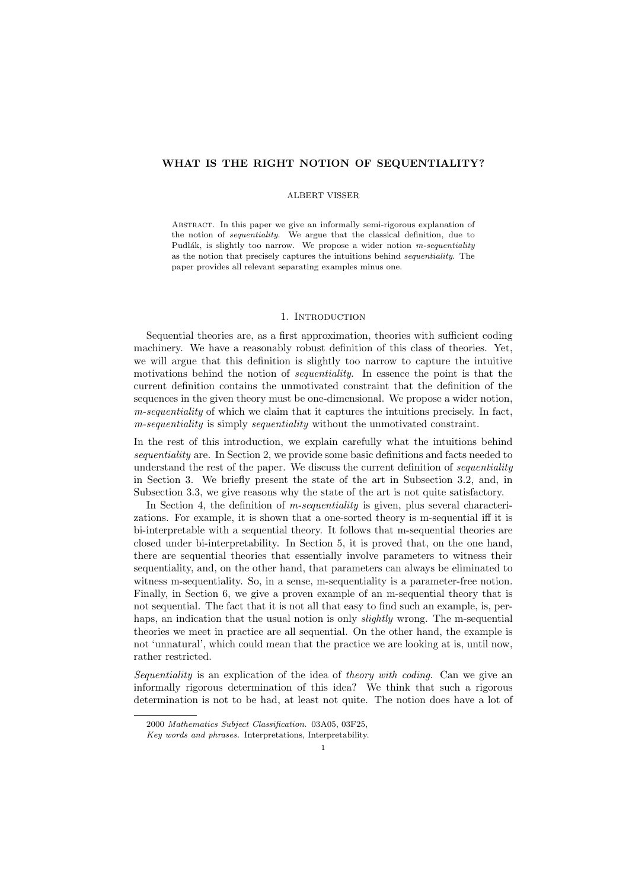# WHAT IS THE RIGHT NOTION OF SEQUENTIALITY?

### ALBERT VISSER

Abstract. In this paper we give an informally semi-rigorous explanation of the notion of sequentiality. We argue that the classical definition, due to Pudlák, is slightly too narrow. We propose a wider notion  $m$ -sequentiality as the notion that precisely captures the intuitions behind sequentiality. The paper provides all relevant separating examples minus one.

# 1. INTRODUCTION

Sequential theories are, as a first approximation, theories with sufficient coding machinery. We have a reasonably robust definition of this class of theories. Yet, we will argue that this definition is slightly too narrow to capture the intuitive motivations behind the notion of *sequentiality*. In essence the point is that the current definition contains the unmotivated constraint that the definition of the sequences in the given theory must be one-dimensional. We propose a wider notion, m-sequentiality of which we claim that it captures the intuitions precisely. In fact, m-sequentiality is simply sequentiality without the unmotivated constraint.

In the rest of this introduction, we explain carefully what the intuitions behind sequentiality are. In Section 2, we provide some basic definitions and facts needed to understand the rest of the paper. We discuss the current definition of *sequentiality* in Section 3. We briefly present the state of the art in Subsection 3.2, and, in Subsection 3.3, we give reasons why the state of the art is not quite satisfactory.

In Section 4, the definition of *m-sequentiality* is given, plus several characterizations. For example, it is shown that a one-sorted theory is m-sequential iff it is bi-interpretable with a sequential theory. It follows that m-sequential theories are closed under bi-interpretability. In Section 5, it is proved that, on the one hand, there are sequential theories that essentially involve parameters to witness their sequentiality, and, on the other hand, that parameters can always be eliminated to witness m-sequentiality. So, in a sense, m-sequentiality is a parameter-free notion. Finally, in Section 6, we give a proven example of an m-sequential theory that is not sequential. The fact that it is not all that easy to find such an example, is, perhaps, an indication that the usual notion is only *slightly* wrong. The m-sequential theories we meet in practice are all sequential. On the other hand, the example is not 'unnatural', which could mean that the practice we are looking at is, until now, rather restricted.

Sequentiality is an explication of the idea of theory with coding. Can we give an informally rigorous determination of this idea? We think that such a rigorous determination is not to be had, at least not quite. The notion does have a lot of

<sup>2000</sup> Mathematics Subject Classification. 03A05, 03F25,

Key words and phrases. Interpretations, Interpretability.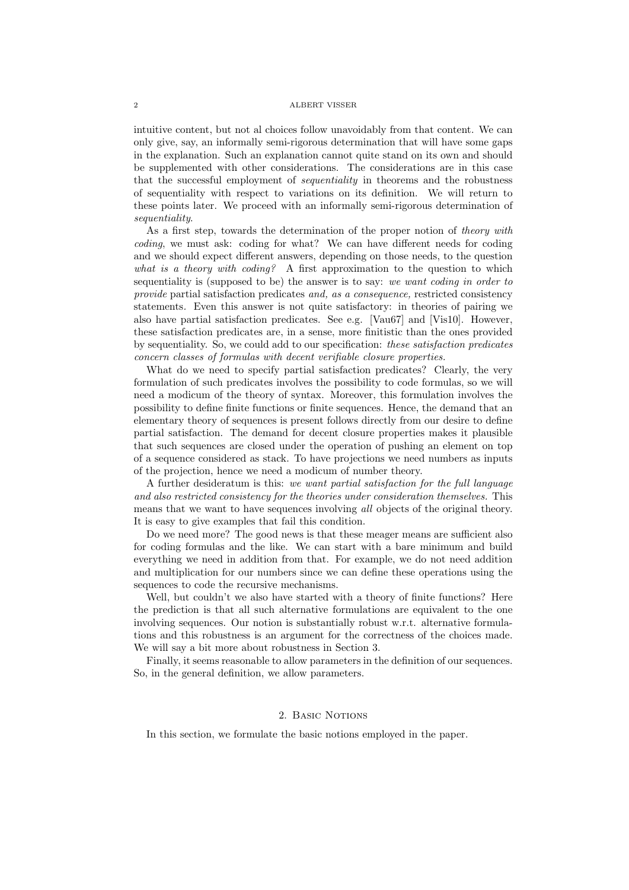intuitive content, but not al choices follow unavoidably from that content. We can only give, say, an informally semi-rigorous determination that will have some gaps in the explanation. Such an explanation cannot quite stand on its own and should be supplemented with other considerations. The considerations are in this case that the successful employment of sequentiality in theorems and the robustness of sequentiality with respect to variations on its definition. We will return to these points later. We proceed with an informally semi-rigorous determination of sequentiality.

As a first step, towards the determination of the proper notion of theory with coding, we must ask: coding for what? We can have different needs for coding and we should expect different answers, depending on those needs, to the question what is a theory with coding? A first approximation to the question to which sequentiality is (supposed to be) the answer is to say: we want coding in order to provide partial satisfaction predicates and, as a consequence, restricted consistency statements. Even this answer is not quite satisfactory: in theories of pairing we also have partial satisfaction predicates. See e.g. [Vau67] and [Vis10]. However, these satisfaction predicates are, in a sense, more finitistic than the ones provided by sequentiality. So, we could add to our specification: these satisfaction predicates concern classes of formulas with decent verifiable closure properties.

What do we need to specify partial satisfaction predicates? Clearly, the very formulation of such predicates involves the possibility to code formulas, so we will need a modicum of the theory of syntax. Moreover, this formulation involves the possibility to define finite functions or finite sequences. Hence, the demand that an elementary theory of sequences is present follows directly from our desire to define partial satisfaction. The demand for decent closure properties makes it plausible that such sequences are closed under the operation of pushing an element on top of a sequence considered as stack. To have projections we need numbers as inputs of the projection, hence we need a modicum of number theory.

A further desideratum is this: we want partial satisfaction for the full language and also restricted consistency for the theories under consideration themselves. This means that we want to have sequences involving all objects of the original theory. It is easy to give examples that fail this condition.

Do we need more? The good news is that these meager means are sufficient also for coding formulas and the like. We can start with a bare minimum and build everything we need in addition from that. For example, we do not need addition and multiplication for our numbers since we can define these operations using the sequences to code the recursive mechanisms.

Well, but couldn't we also have started with a theory of finite functions? Here the prediction is that all such alternative formulations are equivalent to the one involving sequences. Our notion is substantially robust w.r.t. alternative formulations and this robustness is an argument for the correctness of the choices made. We will say a bit more about robustness in Section 3.

Finally, it seems reasonable to allow parameters in the definition of our sequences. So, in the general definition, we allow parameters.

# 2. BASIC NOTIONS

In this section, we formulate the basic notions employed in the paper.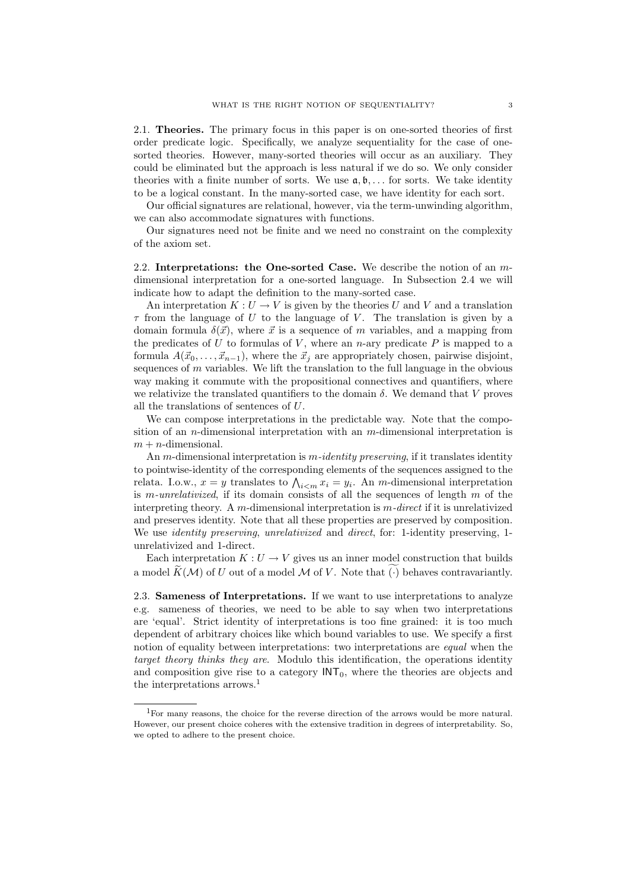2.1. Theories. The primary focus in this paper is on one-sorted theories of first order predicate logic. Specifically, we analyze sequentiality for the case of onesorted theories. However, many-sorted theories will occur as an auxiliary. They could be eliminated but the approach is less natural if we do so. We only consider theories with a finite number of sorts. We use  $a, b, \ldots$  for sorts. We take identity to be a logical constant. In the many-sorted case, we have identity for each sort.

Our official signatures are relational, however, via the term-unwinding algorithm, we can also accommodate signatures with functions.

Our signatures need not be finite and we need no constraint on the complexity of the axiom set.

2.2. Interpretations: the One-sorted Case. We describe the notion of an mdimensional interpretation for a one-sorted language. In Subsection 2.4 we will indicate how to adapt the definition to the many-sorted case.

An interpretation  $K: U \to V$  is given by the theories U and V and a translation  $\tau$  from the language of U to the language of V. The translation is given by a domain formula  $\delta(\vec{x})$ , where  $\vec{x}$  is a sequence of m variables, and a mapping from the predicates of U to formulas of V, where an n-ary predicate P is mapped to a formula  $A(\vec{x}_0, \ldots, \vec{x}_{n-1})$ , where the  $\vec{x}_i$  are appropriately chosen, pairwise disjoint, sequences of  $m$  variables. We lift the translation to the full language in the obvious way making it commute with the propositional connectives and quantifiers, where we relativize the translated quantifiers to the domain  $\delta$ . We demand that V proves all the translations of sentences of U.

We can compose interpretations in the predictable way. Note that the composition of an *n*-dimensional interpretation with an  $m$ -dimensional interpretation is  $m + n$ -dimensional.

An m-dimensional interpretation is m-*identity preserving*, if it translates identity to pointwise-identity of the corresponding elements of the sequences assigned to the relata. I.o.w.,  $x = y$  translates to  $\bigwedge_{i \leq m} x_i = y_i$ . An m-dimensional interpretation is m-unrelativized, if its domain consists of all the sequences of length  $m$  of the interpreting theory. A m-dimensional interpretation is  $m$ -direct if it is unrelativized and preserves identity. Note that all these properties are preserved by composition. We use *identity preserving*, *unrelativized* and *direct*, for: 1-identity preserving, 1unrelativized and 1-direct.

Each interpretation  $K: U \to V$  gives us an inner model construction that builds a model  $\widetilde{K}(\mathcal{M})$  of U out of a model M of V. Note that  $(\cdot)$  behaves contravariantly.

2.3. Sameness of Interpretations. If we want to use interpretations to analyze e.g. sameness of theories, we need to be able to say when two interpretations are 'equal'. Strict identity of interpretations is too fine grained: it is too much dependent of arbitrary choices like which bound variables to use. We specify a first notion of equality between interpretations: two interpretations are *equal* when the target theory thinks they are. Modulo this identification, the operations identity and composition give rise to a category  $INT<sub>0</sub>$ , where the theories are objects and the interpretations arrows.<sup>1</sup>

<sup>1</sup>For many reasons, the choice for the reverse direction of the arrows would be more natural. However, our present choice coheres with the extensive tradition in degrees of interpretability. So, we opted to adhere to the present choice.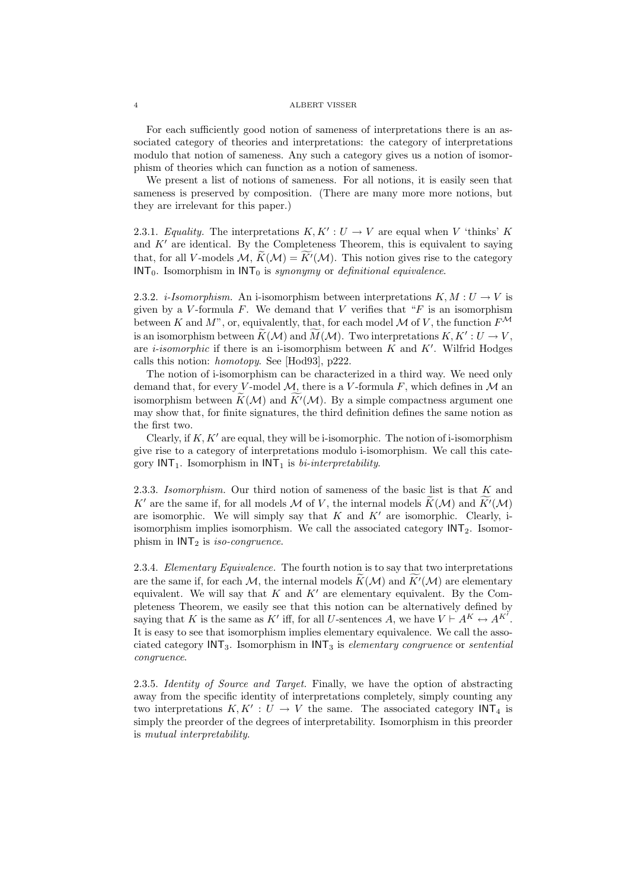For each sufficiently good notion of sameness of interpretations there is an associated category of theories and interpretations: the category of interpretations modulo that notion of sameness. Any such a category gives us a notion of isomorphism of theories which can function as a notion of sameness.

We present a list of notions of sameness. For all notions, it is easily seen that sameness is preserved by composition. (There are many more more notions, but they are irrelevant for this paper.)

2.3.1. Equality. The interpretations  $K, K': U \to V$  are equal when V 'thinks' K and  $K'$  are identical. By the Completeness Theorem, this is equivalent to saying that, for all V-models  $\mathcal{M}, K(\mathcal{M}) = K'(\mathcal{M})$ . This notion gives rise to the category  $INT_0$ . Isomorphism in  $INT_0$  is *synonymy* or *definitional equivalence*.

2.3.2. *i-Isomorphism*. An i-isomorphism between interpretations  $K, M : U \rightarrow V$  is given by a V-formula  $F$ . We demand that V verifies that " $F$  is an isomorphism between K and M", or, equivalently, that, for each model M of V, the function  $F^{\mathcal{M}}$ is an isomorphism between  $\widetilde{K}(\mathcal{M})$  and  $\widetilde{M}(\mathcal{M})$ . Two interpretations  $K, K': U \to V$ , are *i-isomorphic* if there is an *i*-isomorphism between  $K$  and  $K'$ . Wilfrid Hodges calls this notion: homotopy. See [Hod93], p222.

The notion of i-isomorphism can be characterized in a third way. We need only demand that, for every V-model  $M$ , there is a V-formula F, which defines in  $M$  an isomorphism between  $K(\mathcal{M})$  and  $\overline{K}(\mathcal{M})$ . By a simple compactness argument one may show that, for finite signatures, the third definition defines the same notion as the first two.

Clearly, if  $K, K'$  are equal, they will be i-isomorphic. The notion of i-isomorphism give rise to a category of interpretations modulo i-isomorphism. We call this category  $INT<sub>1</sub>$ . Isomorphism in  $INT<sub>1</sub>$  is *bi-interpretability*.

2.3.3. Isomorphism. Our third notion of sameness of the basic list is that  $K$  and K' are the same if, for all models M of V, the internal models  $\widetilde{K}(\mathcal{M})$  and  $\widetilde{K}(\mathcal{M})$ are isomorphic. We will simply say that  $K$  and  $K'$  are isomorphic. Clearly, iisomorphism implies isomorphism. We call the associated category  $INT<sub>2</sub>$ . Isomorphism in  $INT<sub>2</sub>$  is *iso-congruence*.

2.3.4. Elementary Equivalence. The fourth notion is to say that two interpretations are the same if, for each M, the internal models  $K(\mathcal{M})$  and  $K'(\mathcal{M})$  are elementary equivalent. We will say that  $K$  and  $K'$  are elementary equivalent. By the Completeness Theorem, we easily see that this notion can be alternatively defined by saying that K is the same as K' iff, for all U-sentences A, we have  $V \vdash A^K \leftrightarrow A^{K'}$ . It is easy to see that isomorphism implies elementary equivalence. We call the associated category  $INT_3$ . Isomorphism in  $INT_3$  is *elementary congruence* or *sentential* congruence.

2.3.5. Identity of Source and Target. Finally, we have the option of abstracting away from the specific identity of interpretations completely, simply counting any two interpretations  $K, K' : U \to V$  the same. The associated category  $INT_4$  is simply the preorder of the degrees of interpretability. Isomorphism in this preorder is mutual interpretability.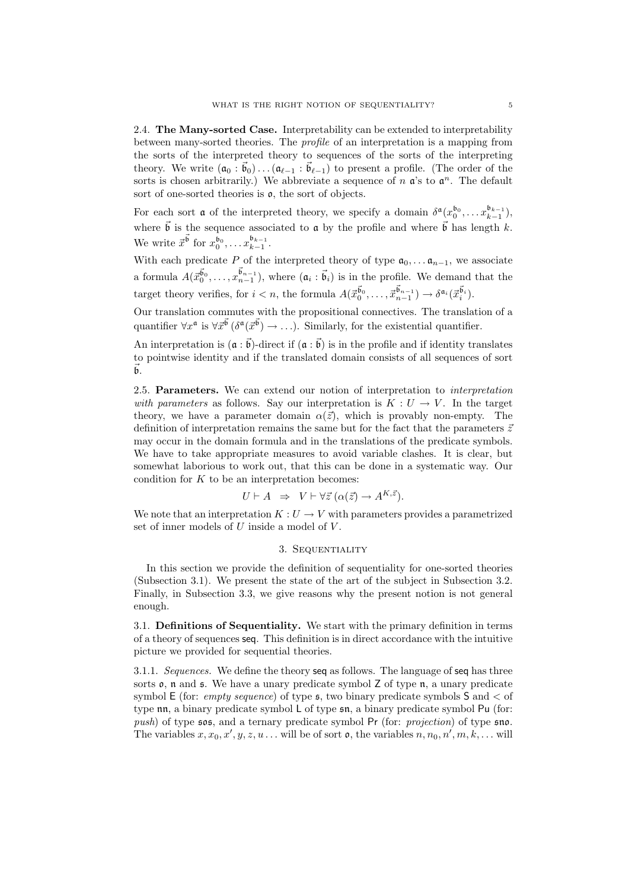2.4. The Many-sorted Case. Interpretability can be extended to interpretability between many-sorted theories. The profile of an interpretation is a mapping from the sorts of the interpreted theory to sequences of the sorts of the interpreting theory. We write  $(\mathfrak{a}_0 : \vec{\mathfrak{b}}_0) \dots (\mathfrak{a}_{\ell-1} : \vec{\mathfrak{b}}_{\ell-1})$  to present a profile. (The order of the sorts is chosen arbitrarily.) We abbreviate a sequence of  $n \, \mathfrak{a}'$ 's to  $\mathfrak{a}^n$ . The default sort of one-sorted theories is  $\rho$ , the sort of objects.

For each sort **a** of the interpreted theory, we specify a domain  $\delta^{\mathfrak{a}}(x_0^{b_0}, \ldots x_{k-1}^{b_{k-1}})$ , where  $\vec{b}$  is the sequence associated to **a** by the profile and where  $\vec{b}$  has length k. We write  $\vec{x}^{\vec{b}}$  for  $x_0^{b_0}, \ldots x_{k-1}^{b_{k-1}}$ .

With each predicate P of the interpreted theory of type  $a_0, \ldots, a_{n-1}$ , we associate a formula  $A(\vec{x}_0^{\vec{b}_0}, \ldots, \vec{x}_{n-1}^{\vec{b}_{n-1}})$ , where  $(a_i : \vec{b}_i)$  is in the profile. We demand that the target theory verifies, for  $i < n$ , the formula  $A(\vec{x}_0^{\vec{b}_0}, \dots, \vec{x}_{n-1}^{\vec{b}_{n-1}}) \to \delta^{a_i}(\vec{x}_i^{\vec{b}_i}).$ 

Our translation commutes with the propositional connectives. The translation of a quantifier  $\forall x^{\mathfrak{a}}$  is  $\forall \vec{x}^{\vec{\mathfrak{b}}}$  ( $\delta^{\mathfrak{a}}(\vec{x}^{\vec{\mathfrak{b}}}) \rightarrow \ldots$ ). Similarly, for the existential quantifier.

An interpretation is  $(\mathfrak{a} : \vec{\mathfrak{b}})$ -direct if  $(\mathfrak{a} : \vec{\mathfrak{b}})$  is in the profile and if identity translates to pointwise identity and if the translated domain consists of all sequences of sort  $\mathfrak{b}$ .

2.5. Parameters. We can extend our notion of interpretation to interpretation with parameters as follows. Say our interpretation is  $K: U \to V$ . In the target theory, we have a parameter domain  $\alpha(\vec{z})$ , which is provably non-empty. The definition of interpretation remains the same but for the fact that the parameters  $\vec{z}$ may occur in the domain formula and in the translations of the predicate symbols. We have to take appropriate measures to avoid variable clashes. It is clear, but somewhat laborious to work out, that this can be done in a systematic way. Our condition for  $K$  to be an interpretation becomes:

$$
U \vdash A \;\; \Rightarrow \;\; V \vdash \forall \vec{z} \, (\alpha(\vec{z}) \to A^{K, \vec{z}}).
$$

We note that an interpretation  $K: U \to V$  with parameters provides a parametrized set of inner models of U inside a model of V .

# 3. Sequentiality

In this section we provide the definition of sequentiality for one-sorted theories (Subsection 3.1). We present the state of the art of the subject in Subsection 3.2. Finally, in Subsection 3.3, we give reasons why the present notion is not general enough.

3.1. Definitions of Sequentiality. We start with the primary definition in terms of a theory of sequences seq. This definition is in direct accordance with the intuitive picture we provided for sequential theories.

3.1.1. Sequences. We define the theory seq as follows. The language of seq has three sorts  $\mathfrak{o}$ ,  $\mathfrak{n}$  and  $\mathfrak{s}$ . We have a unary predicate symbol Z of type  $\mathfrak{n}$ , a unary predicate symbol  $E$  (for: *empty sequence*) of type  $\epsilon$ , two binary predicate symbols  $S$  and  $\epsilon$  of type nn, a binary predicate symbol L of type sn, a binary predicate symbol Pu (for: push) of type  $\mathfrak{sos}$ , and a ternary predicate symbol Pr (for: projection) of type  $\mathfrak{so}$ . The variables  $x, x_0, x', y, z, u \dots$  will be of sort  $\mathfrak{o}$ , the variables  $n, n_0, n', m, k, \dots$  will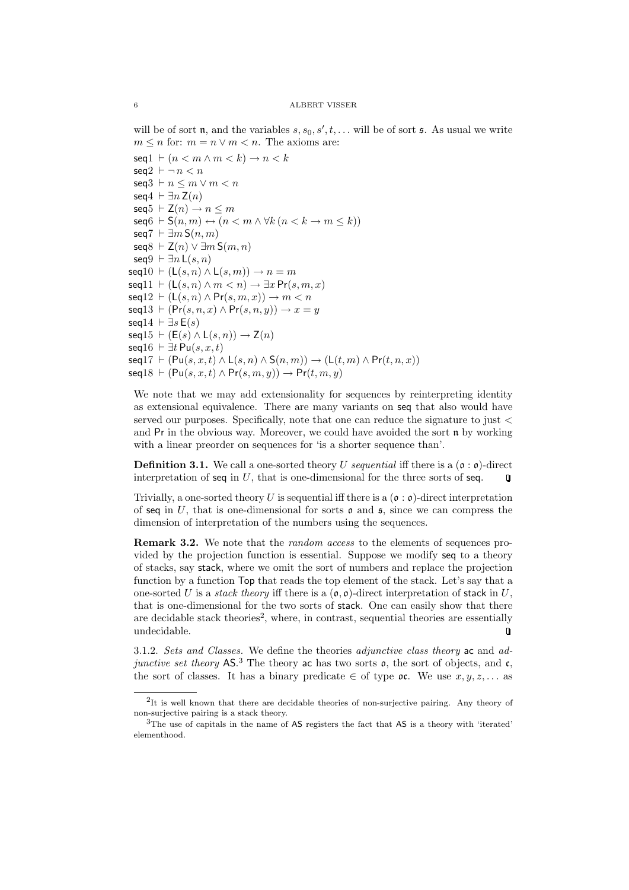will be of sort **n**, and the variables  $s, s_0, s', t, \ldots$  will be of sort **s**. As usual we write  $m \leq n$  for:  $m = n \vee m < n$ . The axioms are:  $\textsf{seq1} \vdash (n < m \land m < k) \rightarrow n < k$  $seq2 \vdash \neg n < n$ seq $3 \vdash n \le m \vee m \le n$ seq $4 \vdash \exists n \mathsf{Z}(n)$  $\textsf{seq}5 \vdash \mathsf{Z}(n) \rightarrow n \leq m$  $\textsf{seq}6 \vdash \mathsf{S}(n, m) \leftrightarrow (n < m \land \forall k (n < k \rightarrow m \leq k))$ seq $7 \vdash \exists m \, \mathsf{S}(n,m)$ seq $8 ⊢ Z(n) ∨ ∃ m S(m, n)$ seq $9 \vdash \exists n \mathsf{L}(s, n)$  $\textsf{seq}10 \vdash (\mathsf{L}(s, n) \land \mathsf{L}(s, m)) \rightarrow n = m$  $\mathsf{seq}11 \vdash (\mathsf{L}(s, n) \land m < n) \rightarrow \exists x \Pr(s, m, x)$  $\textsf{seq}12 \vdash (\mathsf{L}(s, n) \land \mathsf{Pr}(s, m, x)) \rightarrow m < n$  $seq13 \vdash (Pr(s, n, x) \land Pr(s, n, y)) \rightarrow x = y$ seq14  $\vdash \exists s \, \mathsf{E}(s)$  $seq15 \vdash (E(s) \land L(s, n)) \rightarrow Z(n)$ seq $16 \vdash \exists t \mathsf{Pu}(s, x, t)$  $\mathsf{seq}17 \vdash (\mathsf{Pu}(s, x, t) \land \mathsf{L}(s, n) \land \mathsf{S}(n, m)) \rightarrow (\mathsf{L}(t, m) \land \mathsf{Pr}(t, n, x))$  $\mathsf{seq}18 \vdash (\mathsf{Pu}(s, x, t) \land \mathsf{Pr}(s, m, y)) \rightarrow \mathsf{Pr}(t, m, y)$ 

We note that we may add extensionality for sequences by reinterpreting identity as extensional equivalence. There are many variants on seq that also would have served our purposes. Specifically, note that one can reduce the signature to just < and  $Pr$  in the obvious way. Moreover, we could have avoided the sort  $n$  by working with a linear preorder on sequences for 'is a shorter sequence than'.

**Definition 3.1.** We call a one-sorted theory U sequential iff there is a  $(\mathfrak{o} : \mathfrak{o})$ -direct interpretation of seq in  $U$ , that is one-dimensional for the three sorts of seq.  $\overline{u}$ 

Trivially, a one-sorted theory U is sequential iff there is a  $(0 : 0)$ -direct interpretation of seq in U, that is one-dimensional for sorts  $\rho$  and  $\zeta$ , since we can compress the dimension of interpretation of the numbers using the sequences.

**Remark 3.2.** We note that the *random access* to the elements of sequences provided by the projection function is essential. Suppose we modify seq to a theory of stacks, say stack, where we omit the sort of numbers and replace the projection function by a function Top that reads the top element of the stack. Let's say that a one-sorted U is a *stack theory* iff there is a  $(\rho, \rho)$ -direct interpretation of stack in U, that is one-dimensional for the two sorts of stack. One can easily show that there are decidable stack theories<sup>2</sup>, where, in contrast, sequential theories are essentially undecidable.  $\Box$ 

3.1.2. Sets and Classes. We define the theories adjunctive class theory ac and adjunctive set theory  $AS^3$ . The theory ac has two sorts  $\mathfrak{o}$ , the sort of objects, and  $\mathfrak{c}$ , the sort of classes. It has a binary predicate  $\in$  of type oc. We use  $x, y, z, \ldots$  as

<sup>&</sup>lt;sup>2</sup>It is well known that there are decidable theories of non-surjective pairing. Any theory of non-surjective pairing is a stack theory.

<sup>3</sup>The use of capitals in the name of AS registers the fact that AS is a theory with 'iterated' elementhood.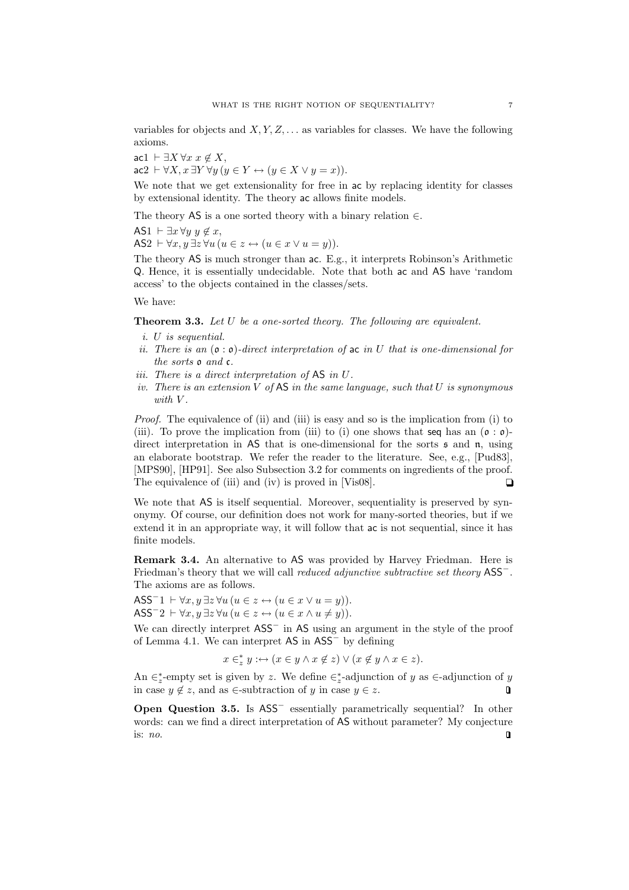variables for objects and  $X, Y, Z, \ldots$  as variables for classes. We have the following axioms.

 $\text{acl } \vdash \exists X \forall x \ x \notin X,$  $\texttt{ac2} \vdash \forall X, x \exists Y \forall y (y \in Y \leftrightarrow (y \in X \lor y = x)).$ 

We note that we get extensionality for free in ac by replacing identity for classes by extensional identity. The theory ac allows finite models.

The theory AS is a one sorted theory with a binary relation  $\in$ .

AS1  $\vdash \exists x \forall y \ y \notin x$ ,

AS2  $\vdash \forall x, y \exists z \forall u (u \in z \leftrightarrow (u \in x \vee u = y)).$ 

The theory AS is much stronger than ac. E.g., it interprets Robinson's Arithmetic Q. Hence, it is essentially undecidable. Note that both ac and AS have 'random access' to the objects contained in the classes/sets.

We have:

Theorem 3.3. Let U be a one-sorted theory. The following are equivalent.

- i. U is sequential.
- ii. There is an  $(\mathfrak{o} : \mathfrak{o})$ -direct interpretation of ac in U that is one-dimensional for the sorts o and c.
- iii. There is a direct interpretation of AS in U.
- iv. There is an extension  $V$  of  $AS$  in the same language, such that  $U$  is synonymous with  $V$ .

Proof. The equivalence of (ii) and (iii) is easy and so is the implication from (i) to (iii). To prove the implication from (iii) to (i) one shows that seq has an  $(\mathfrak{o} : \mathfrak{o})$ direct interpretation in AS that is one-dimensional for the sorts  $\mathfrak s$  and  $\mathfrak n$ , using an elaborate bootstrap. We refer the reader to the literature. See, e.g., [Pud83], [MPS90], [HP91]. See also Subsection 3.2 for comments on ingredients of the proof. The equivalence of (iii) and (iv) is proved in [Vis08].  $\Box$ 

We note that AS is itself sequential. Moreover, sequentiality is preserved by synonymy. Of course, our definition does not work for many-sorted theories, but if we extend it in an appropriate way, it will follow that ac is not sequential, since it has finite models.

Remark 3.4. An alternative to AS was provided by Harvey Friedman. Here is Friedman's theory that we will call reduced adjunctive subtractive set theory ASS<sup>−</sup>. The axioms are as follows.

ASS<sup>-</sup>1  $\vdash \forall x, y \exists z \forall u (u \in z \leftrightarrow (u \in x \vee u = y)).$ ASS<sup>-</sup>2  $\vdash \forall x, y \exists z \forall u (u \in z \leftrightarrow (u \in x \land u \neq y)).$ 

We can directly interpret ASS<sup>−</sup> in AS using an argument in the style of the proof of Lemma 4.1. We can interpret AS in ASS<sup>−</sup> by defining

$$
x\in_z^*y:\hookrightarrow (x\in y\wedge x\not\in z)\vee(x\not\in y\wedge x\in z).
$$

An  $\in_z^*$ -empty set is given by z. We define  $\in_z^*$ -adjunction of y as  $\in$ -adjunction of y in case  $y \notin z$ , and as ∈-subtraction of y in case  $y \in z$ .  $\Box$ 

Open Question 3.5. Is ASS<sup>−</sup> essentially parametrically sequential? In other words: can we find a direct interpretation of AS without parameter? My conjecture is: no. $\Box$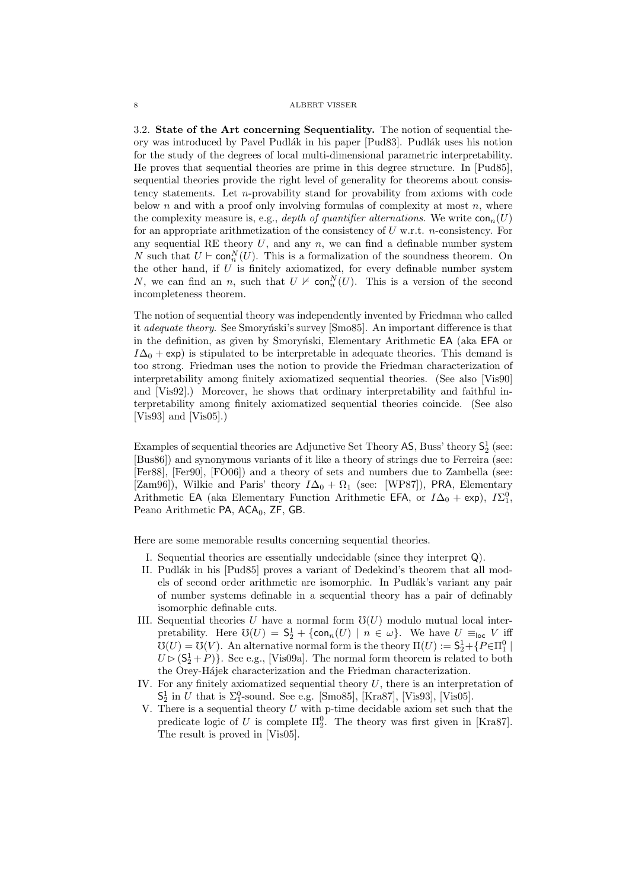3.2. State of the Art concerning Sequentiality. The notion of sequential theory was introduced by Pavel Pudlák in his paper [Pud83]. Pudlák uses his notion for the study of the degrees of local multi-dimensional parametric interpretability. He proves that sequential theories are prime in this degree structure. In [Pud85], sequential theories provide the right level of generality for theorems about consistency statements. Let n-provability stand for provability from axioms with code below  $n$  and with a proof only involving formulas of complexity at most  $n$ , where the complexity measure is, e.g., depth of quantifier alternations. We write  $con_n(U)$ for an appropriate arithmetization of the consistency of  $U$  w.r.t. *n*-consistency. For any sequential RE theory  $U$ , and any  $n$ , we can find a definable number system N such that  $U \vdash \textsf{con}^N_n(U)$ . This is a formalization of the soundness theorem. On the other hand, if  $U$  is finitely axiomatized, for every definable number system N, we can find an n, such that  $U \nvdash \text{con}^N_n(U)$ . This is a version of the second incompleteness theorem.

The notion of sequential theory was independently invented by Friedman who called it *adequate theory*. See Smoryn'ski's survey [Smo85]. An important difference is that in the definition, as given by Smoryński, Elementary Arithmetic EA (aka EFA or  $I\Delta_0$  + exp) is stipulated to be interpretable in adequate theories. This demand is too strong. Friedman uses the notion to provide the Friedman characterization of interpretability among finitely axiomatized sequential theories. (See also [Vis90] and [Vis92].) Moreover, he shows that ordinary interpretability and faithful interpretability among finitely axiomatized sequential theories coincide. (See also [Vis93] and [Vis05].)

Examples of sequential theories are Adjunctive Set Theory  $AS$ , Buss' theory  $S_2^1$  (see: [Bus86]) and synonymous variants of it like a theory of strings due to Ferreira (see: [Fer88], [Fer90], [FO06]) and a theory of sets and numbers due to Zambella (see: [Zam96]), Wilkie and Paris' theory  $I\Delta_0 + \Omega_1$  (see: [WP87]), PRA, Elementary Arithmetic EA (aka Elementary Function Arithmetic EFA, or  $I\Delta_0 + \exp$ ),  $I\Sigma_1^0$ , Peano Arithmetic PA,  $ACA_0$ , ZF, GB.

Here are some memorable results concerning sequential theories.

- I. Sequential theories are essentially undecidable (since they interpret Q).
- II. Pudlák in his [Pud85] proves a variant of Dedekind's theorem that all models of second order arithmetic are isomorphic. In Pudlák's variant any pair of number systems definable in a sequential theory has a pair of definably isomorphic definable cuts.
- III. Sequential theories U have a normal form  $\mathfrak{V}(U)$  modulo mutual local interpretability. Here  $\mathfrak{V}(U) = \mathsf{S}_2^1 + \{\textsf{con}_n(U) \mid n \in \omega\}$ . We have  $U \equiv_{\textsf{loc}} V$  iff  $\mathcal{O}(U) = \mathcal{O}(V)$ . An alternative normal form is the theory  $\Pi(U) := \mathsf{S}_2^1 + \{P \in \Pi_1^0 \mid \Pi_2^0 \leq \Pi_1^1 \}$  $U \triangleright (S_2^1 + P)$ . See e.g., [Vis09a]. The normal form theorem is related to both the Orey-Hájek characterization and the Friedman characterization.
- IV. For any finitely axiomatized sequential theory  $U$ , there is an interpretation of  $S_2^1$  in U that is  $\Sigma_1^0$ -sound. See e.g. [Smo85], [Kra87], [Vis93], [Vis05].
- V. There is a sequential theory  $U$  with p-time decidable axiom set such that the predicate logic of U is complete  $\Pi_2^0$ . The theory was first given in [Kra87]. The result is proved in [Vis05].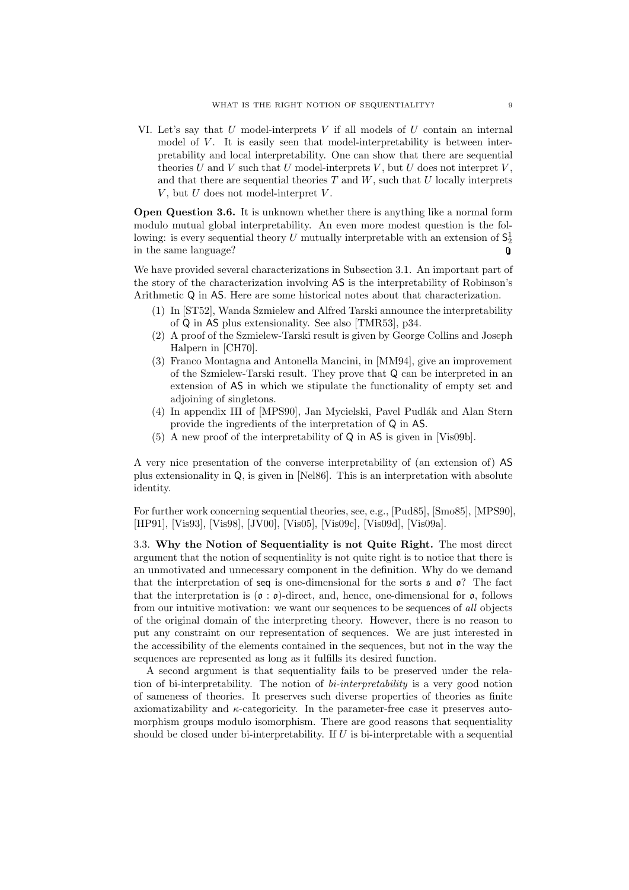VI. Let's say that U model-interprets V if all models of U contain an internal model of  $V$ . It is easily seen that model-interpretability is between interpretability and local interpretability. One can show that there are sequential theories  $U$  and  $V$  such that  $U$  model-interprets  $V$ , but  $U$  does not interpret  $V$ , and that there are sequential theories  $T$  and  $W$ , such that  $U$  locally interprets  $V$ , but  $U$  does not model-interpret  $V$ .

Open Question 3.6. It is unknown whether there is anything like a normal form modulo mutual global interpretability. An even more modest question is the following: is every sequential theory U mutually interpretable with an extension of  $\mathsf{S}_2^1$ in the same language?  $\Box$ 

We have provided several characterizations in Subsection 3.1. An important part of the story of the characterization involving AS is the interpretability of Robinson's Arithmetic Q in AS. Here are some historical notes about that characterization.

- (1) In [ST52], Wanda Szmielew and Alfred Tarski announce the interpretability of Q in AS plus extensionality. See also [TMR53], p34.
- (2) A proof of the Szmielew-Tarski result is given by George Collins and Joseph Halpern in [CH70].
- (3) Franco Montagna and Antonella Mancini, in [MM94], give an improvement of the Szmielew-Tarski result. They prove that Q can be interpreted in an extension of AS in which we stipulate the functionality of empty set and adjoining of singletons.
- (4) In appendix III of [MPS90], Jan Mycielski, Pavel Pudlák and Alan Stern provide the ingredients of the interpretation of Q in AS.
- (5) A new proof of the interpretability of Q in AS is given in [Vis09b].

A very nice presentation of the converse interpretability of (an extension of) AS plus extensionality in Q, is given in [Nel86]. This is an interpretation with absolute identity.

For further work concerning sequential theories, see, e.g., [Pud85], [Smo85], [MPS90], [HP91], [Vis93], [Vis98], [JV00], [Vis05], [Vis09c], [Vis09d], [Vis09a].

3.3. Why the Notion of Sequentiality is not Quite Right. The most direct argument that the notion of sequentiality is not quite right is to notice that there is an unmotivated and unnecessary component in the definition. Why do we demand that the interpretation of seq is one-dimensional for the sorts  $\mathfrak s$  and  $\mathfrak o$ ? The fact that the interpretation is  $(\mathfrak{o} : \mathfrak{o})$ -direct, and, hence, one-dimensional for  $\mathfrak{o}$ , follows from our intuitive motivation: we want our sequences to be sequences of all objects of the original domain of the interpreting theory. However, there is no reason to put any constraint on our representation of sequences. We are just interested in the accessibility of the elements contained in the sequences, but not in the way the sequences are represented as long as it fulfills its desired function.

A second argument is that sequentiality fails to be preserved under the relation of bi-interpretability. The notion of bi-interpretability is a very good notion of sameness of theories. It preserves such diverse properties of theories as finite axiomatizability and  $\kappa$ -categoricity. In the parameter-free case it preserves automorphism groups modulo isomorphism. There are good reasons that sequentiality should be closed under bi-interpretability. If  $U$  is bi-interpretable with a sequential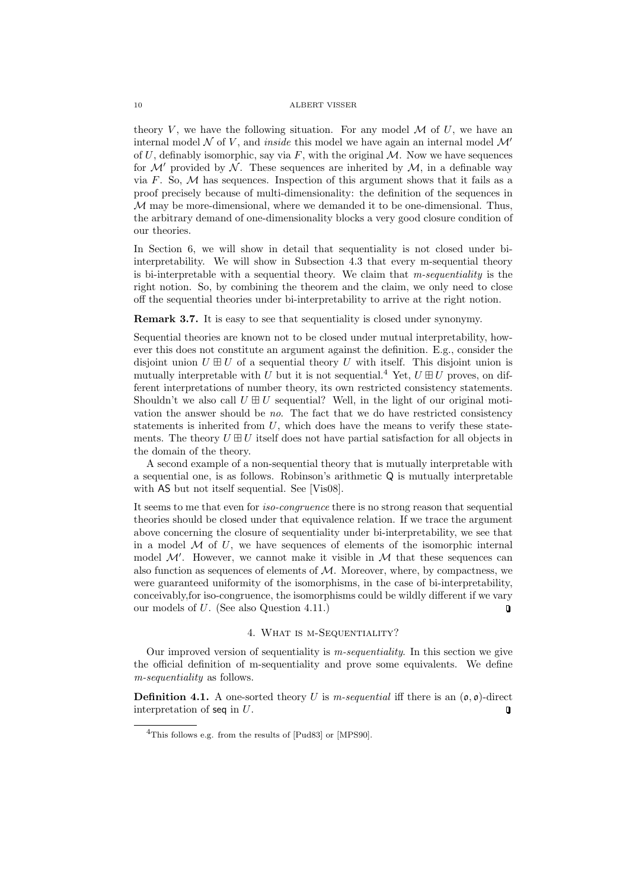theory V, we have the following situation. For any model  $\mathcal M$  of U, we have an internal model N of V, and *inside* this model we have again an internal model  $\mathcal{M}'$ of  $U$ , definably isomorphic, say via  $F$ , with the original  $M$ . Now we have sequences for  $\mathcal{M}'$  provided by  $\mathcal{N}$ . These sequences are inherited by  $\mathcal{M}$ , in a definable way via F. So,  $M$  has sequences. Inspection of this argument shows that it fails as a proof precisely because of multi-dimensionality: the definition of the sequences in  $M$  may be more-dimensional, where we demanded it to be one-dimensional. Thus, the arbitrary demand of one-dimensionality blocks a very good closure condition of our theories.

In Section 6, we will show in detail that sequentiality is not closed under biinterpretability. We will show in Subsection 4.3 that every m-sequential theory is bi-interpretable with a sequential theory. We claim that m-sequentiality is the right notion. So, by combining the theorem and the claim, we only need to close off the sequential theories under bi-interpretability to arrive at the right notion.

Remark 3.7. It is easy to see that sequentiality is closed under synonymy.

Sequential theories are known not to be closed under mutual interpretability, however this does not constitute an argument against the definition. E.g., consider the disjoint union  $U \boxplus U$  of a sequential theory U with itself. This disjoint union is mutually interpretable with U but it is not sequential.<sup>4</sup> Yet,  $U \boxplus U$  proves, on different interpretations of number theory, its own restricted consistency statements. Shouldn't we also call  $U \boxplus U$  sequential? Well, in the light of our original motivation the answer should be no. The fact that we do have restricted consistency statements is inherited from  $U$ , which does have the means to verify these statements. The theory  $U \oplus U$  itself does not have partial satisfaction for all objects in the domain of the theory.

A second example of a non-sequential theory that is mutually interpretable with a sequential one, is as follows. Robinson's arithmetic Q is mutually interpretable with AS but not itself sequential. See [Vis08].

It seems to me that even for iso-congruence there is no strong reason that sequential theories should be closed under that equivalence relation. If we trace the argument above concerning the closure of sequentiality under bi-interpretability, we see that in a model  $\mathcal M$  of U, we have sequences of elements of the isomorphic internal model  $\mathcal{M}'$ . However, we cannot make it visible in  $\mathcal M$  that these sequences can also function as sequences of elements of  $M$ . Moreover, where, by compactness, we were guaranteed uniformity of the isomorphisms, in the case of bi-interpretability, conceivably,for iso-congruence, the isomorphisms could be wildly different if we vary our models of U. (See also Question 4.11.)  $\overline{\mathbf{u}}$ 

# 4. What is m-Sequentiality?

Our improved version of sequentiality is  $m$ -sequentiality. In this section we give the official definition of m-sequentiality and prove some equivalents. We define m-sequentiality as follows.

**Definition 4.1.** A one-sorted theory U is m-sequential iff there is an  $(\mathfrak{o}, \mathfrak{o})$ -direct interpretation of seq in  $U$ .  $\mathbf 0$ 

<sup>4</sup>This follows e.g. from the results of [Pud83] or [MPS90].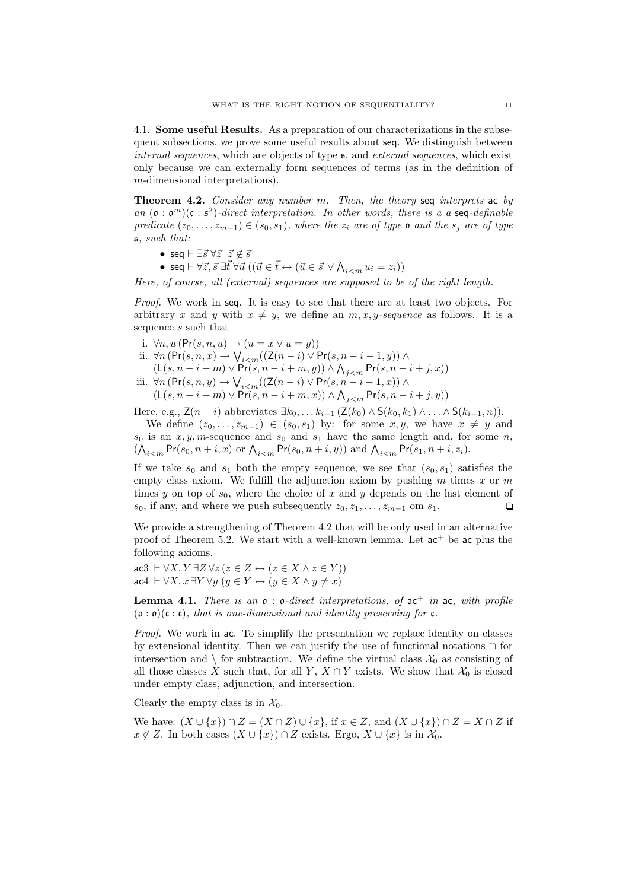4.1. Some useful Results. As a preparation of our characterizations in the subsequent subsections, we prove some useful results about seq. We distinguish between internal sequences, which are objects of type s, and external sequences, which exist only because we can externally form sequences of terms (as in the definition of m-dimensional interpretations).

Theorem 4.2. Consider any number m. Then, the theory seq interprets ac by an  $(\mathfrak{o}: \mathfrak{o}^m)(\mathfrak{c}: \mathfrak{s}^2)$ -direct interpretation. In other words, there is a a seq-definable predicate  $(z_0, \ldots, z_{m-1}) \in (s_0, s_1)$ , where the  $z_i$  are of type  $\mathfrak o$  and the  $s_i$  are of type s, such that:

- seq  $\vdash \exists \vec{s} \ \forall \vec{z} \ \vec{z} \not\in \vec{s}$
- seq  $\vdash \forall \vec{z}, \vec{s} \ \exists \vec{t} \ \forall \vec{u} \ ((\vec{u} \in \vec{t} \leftrightarrow (\vec{u} \in \vec{s} \ \vee \ \wedge_{i < m} u_i = z_i))$

Here, of course, all (external) sequences are supposed to be of the right length.

Proof. We work in seq. It is easy to see that there are at least two objects. For arbitrary x and y with  $x \neq y$ , we define an  $m, x, y$ -sequence as follows. It is a sequence s such that

- i.  $\forall n, u \, (\text{Pr}(s, n, u) \rightarrow (u = x \vee u = y))$
- ii. ∀n (Pr(s, n, x) →  $\bigvee_{i$  $(L(s, n-i+m) \vee Pr(s, n-i+m, y)) \wedge \bigwedge_{j \leq m} Pr(s, n-i+j, x))$
- iii. ∀n (Pr $(s, n, y)$  →  $\bigvee_{i < m} ((\mathsf{Z}(n-i) \vee \mathsf{Pr}(s, n-i-1, x)) \wedge$  $(L(s, n-i+m) \vee Pr(s, n-i+m, x)) \wedge \bigwedge_{j < m} Pr(s, n-i+j, y))$

Here, e.g.,  $\mathsf{Z}(n-i)$  abbreviates  $\exists k_0, \ldots k_{i-1}$  ( $\mathsf{Z}(k_0) \wedge \mathsf{S}(k_0, k_1) \wedge \ldots \wedge \mathsf{S}(k_{i-1}, n)$ ).

We define  $(z_0, \ldots, z_{m-1}) \in (s_0, s_1)$  by: for some  $x, y$ , we have  $x \neq y$  and  $s_0$  is an  $x, y, m$ -sequence and  $s_0$  and  $s_1$  have the same length and, for some n,  $(\bigwedge_{i \leq m} Pr(s_0, n+i, x) \text{ or } \bigwedge_{i \leq m} Pr(s_0, n+i, y)) \text{ and } \bigwedge_{i \leq m} Pr(s_1, n+i, z_i).$ 

If we take  $s_0$  and  $s_1$  both the empty sequence, we see that  $(s_0, s_1)$  satisfies the empty class axiom. We fulfill the adjunction axiom by pushing  $m$  times  $x$  or  $m$ times y on top of  $s_0$ , where the choice of x and y depends on the last element of  $s_0$ , if any, and where we push subsequently  $z_0, z_1, \ldots, z_{m-1}$  om  $s_1$ .

We provide a strengthening of Theorem 4.2 that will be only used in an alternative proof of Theorem 5.2. We start with a well-known lemma. Let  $ac^+$  be ac plus the following axioms.

 $\texttt{ac3} \vdash \forall X, Y \exists Z \forall z (z \in Z \leftrightarrow (z \in X \land z \in Y))$  $\text{acd} \vdash \forall X, x \exists Y \forall y \ (y \in Y \leftrightarrow (y \in X \land y \neq x))$ 

**Lemma 4.1.** There is an  $\mathfrak{o}$  :  $\mathfrak{o}$ -direct interpretations, of  $\mathfrak{a}$ c<sup>+</sup> in  $\mathfrak{a}$ c, with profile  $(0 : 0)(c : c)$ , that is one-dimensional and identity preserving for c.

Proof. We work in ac. To simplify the presentation we replace identity on classes by extensional identity. Then we can justify the use of functional notations ∩ for intersection and  $\setminus$  for subtraction. We define the virtual class  $\mathcal{X}_0$  as consisting of all those classes X such that, for all Y,  $X \cap Y$  exists. We show that  $\mathcal{X}_0$  is closed under empty class, adjunction, and intersection.

Clearly the empty class is in  $\mathcal{X}_0$ .

We have:  $(X \cup \{x\}) \cap Z = (X \cap Z) \cup \{x\}$ , if  $x \in Z$ , and  $(X \cup \{x\}) \cap Z = X \cap Z$  if  $x \notin Z$ . In both cases  $(X \cup \{x\}) \cap Z$  exists. Ergo,  $X \cup \{x\}$  is in  $\mathcal{X}_0$ .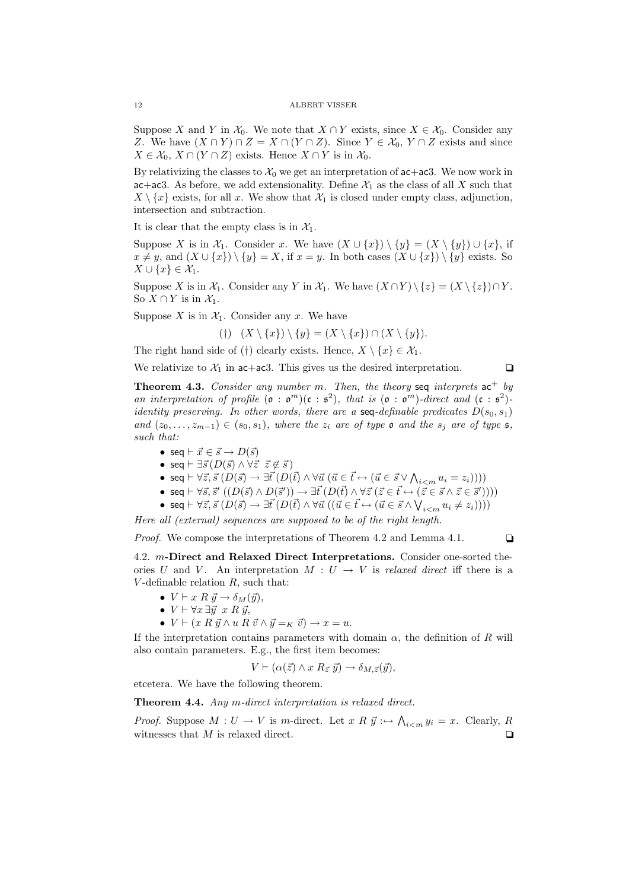Suppose X and Y in  $\mathcal{X}_0$ . We note that  $X \cap Y$  exists, since  $X \in \mathcal{X}_0$ . Consider any Z. We have  $(X \cap Y) \cap Z = X \cap (Y \cap Z)$ . Since  $Y \in \mathcal{X}_0, Y \cap Z$  exists and since  $X \in \mathcal{X}_0, X \cap (Y \cap Z)$  exists. Hence  $X \cap Y$  is in  $\mathcal{X}_0$ .

By relativizing the classes to  $\mathcal{X}_0$  we get an interpretation of  $ac+ac3$ . We now work in ac+ac3. As before, we add extensionality. Define  $\mathcal{X}_1$  as the class of all X such that  $X \setminus \{x\}$  exists, for all x. We show that  $\mathcal{X}_1$  is closed under empty class, adjunction, intersection and subtraction.

It is clear that the empty class is in  $\mathcal{X}_1$ .

Suppose X is in  $\mathcal{X}_1$ . Consider x. We have  $(X \cup \{x\}) \setminus \{y\} = (X \setminus \{y\}) \cup \{x\}$ , if  $x \neq y$ , and  $(X \cup \{x\}) \setminus \{y\} = X$ , if  $x = y$ . In both cases  $(X \cup \{x\}) \setminus \{y\}$  exists. So  $X \cup \{x\} \in \mathcal{X}_1.$ 

Suppose X is in  $\mathcal{X}_1$ . Consider any Y in  $\mathcal{X}_1$ . We have  $(X \cap Y) \setminus \{z\} = (X \setminus \{z\}) \cap Y$ . So  $X \cap Y$  is in  $\mathcal{X}_1$ .

Suppose  $X$  is in  $\mathcal{X}_1$ . Consider any  $x$ . We have

(†)  $(X \setminus \{x\}) \setminus \{y\} = (X \setminus \{x\}) \cap (X \setminus \{y\}).$ 

The right hand side of (†) clearly exists. Hence,  $X \setminus \{x\} \in \mathcal{X}_1$ .

We relativize to  $\mathcal{X}_1$  in ac+ac3. This gives us the desired interpretation.  $\Box$ 

**Theorem 4.3.** Consider any number m. Then, the theory seq interprets  $ac^+$  by an interpretation of profile  $(\mathfrak{o} : \mathfrak{o}^m)(\mathfrak{c} : \mathfrak{s}^2)$ , that is  $(\mathfrak{o} : \mathfrak{o}^m)$ -direct and  $(\mathfrak{c} : \mathfrak{s}^2)$ identity preserving. In other words, there are a seq-definable predicates  $D(s_0, s_1)$ and  $(z_0, \ldots, z_{m-1}) \in (s_0, s_1)$ , where the  $z_i$  are of type  $\mathfrak o$  and the  $s_j$  are of type  $\mathfrak s$ , such that:

- seq  $\vdash \vec{x} \in \vec{s} \rightarrow D(\vec{s})$
- seq  $\vdash \exists \vec{s} (D(\vec{s}) \land \forall \vec{z} \ \vec{z} \notin \vec{s})$
- seq  $\vdash \forall \vec{z}, \vec{s}~(D(\vec{s}) \rightarrow \exists \vec{t}~(D(\vec{t}) \land \forall \vec{u}~(\vec{u} \in \vec{t} \leftrightarrow (\vec{u} \in \vec{s} \lor \bigwedge_{i < m} u_i = z_i))))$
- seq  $\vdash \forall \vec{s}, \vec{s}' ((D(\vec{s}) \wedge D(\vec{s}')) \rightarrow \exists \vec{t} (D(\vec{t}) \wedge \forall \vec{z} (\vec{z} \in \vec{t} \leftrightarrow (\vec{z} \in \vec{s} \wedge \vec{z} \in \vec{s}'))))$
- seq  $\vdash \forall \vec{z}, \vec{s}~(D(\vec{s}) \rightarrow \exists \vec{t}~(D(\vec{t}) \land \forall \vec{u}~((\vec{u} \in \vec{t} \leftrightarrow (\vec{u} \in \vec{s} \land \bigvee_{i < m} u_i \neq z_i))))$

Here all (external) sequences are supposed to be of the right length.

*Proof.* We compose the interpretations of Theorem 4.2 and Lemma 4.1.  $\Box$ 

4.2. m-Direct and Relaxed Direct Interpretations. Consider one-sorted theories U and V. An interpretation  $M: U \to V$  is relaxed direct iff there is a  $V$ -definable relation  $R$ , such that:

- $V \vdash x R \ \vec{y} \rightarrow \delta_M(\vec{y}),$
- $V \vdash \forall x \exists \vec{y} \ x \ R \ \vec{y},$
- $V \vdash (x R \vec{y} \land u R \vec{v} \land \vec{y} =_K \vec{v}) \rightarrow x = u.$

If the interpretation contains parameters with domain  $\alpha$ , the definition of R will also contain parameters. E.g., the first item becomes:

$$
V \vdash (\alpha(\vec{z}) \land x \mathrel{R}_{\vec{z}} \vec{y}) \rightarrow \delta_{M, \vec{z}}(\vec{y}),
$$

etcetera. We have the following theorem.

Theorem 4.4. Any m-direct interpretation is relaxed direct.

*Proof.* Suppose  $M: U \to V$  is m-direct. Let  $x R \overrightarrow{y} : \leftrightarrow \bigwedge_{i \leq m} y_i = x$ . Clearly, R witnesses that  $M$  is relaxed direct.  $\Box$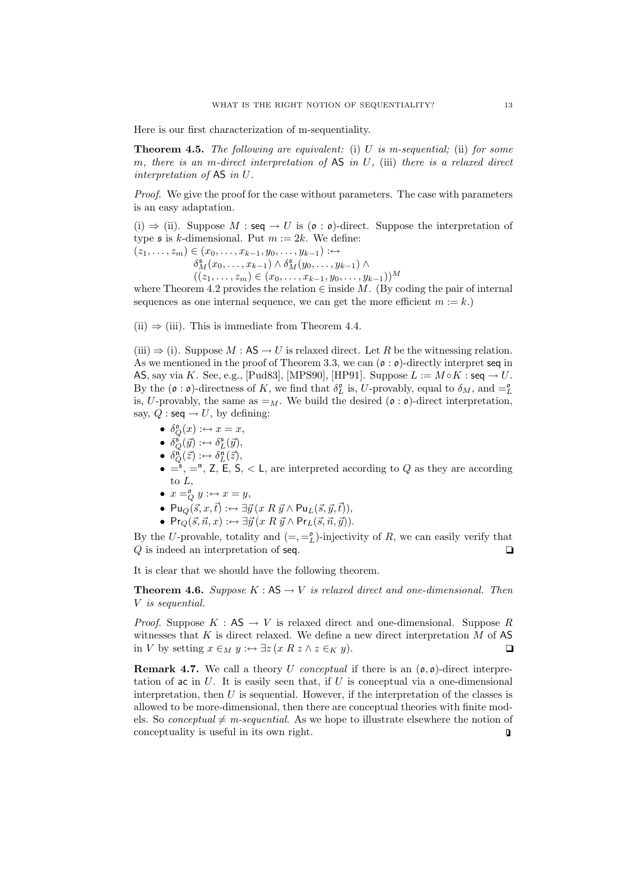Here is our first characterization of m-sequentiality.

**Theorem 4.5.** The following are equivalent: (i) U is m-sequential; (ii) for some m, there is an m-direct interpretation of  $\overline{AS}$  in U, (iii) there is a relaxed direct interpretation of AS in U.

Proof. We give the proof for the case without parameters. The case with parameters is an easy adaptation.

(i)  $\Rightarrow$  (ii). Suppose M : seq  $\rightarrow U$  is ( $\mathfrak{o} : \mathfrak{o}$ )-direct. Suppose the interpretation of type  $\mathfrak s$  is k-dimensional. Put  $m := 2k$ . We define:

 $(z_1, \ldots, z_m) \in (x_0, \ldots, x_{k-1}, y_0, \ldots, y_{k-1}) : \leftrightarrow$ 

 $\delta_M^{\mathfrak{s}}(x_0,\ldots,x_{k-1}) \wedge \delta_M^{\mathfrak{s}}(y_0,\ldots,y_{k-1}) \wedge$ 

 $((z_1, \ldots, z_m) \in (x_0, \ldots, x_{k-1}, y_0, \ldots, y_{k-1}))^M$ 

where Theorem 4.2 provides the relation  $\in$  inside M. (By coding the pair of internal sequences as one internal sequence, we can get the more efficient  $m := k$ .

 $(ii) \Rightarrow (iii)$ . This is immediate from Theorem 4.4.

 $(iii) \Rightarrow (i)$ . Suppose  $M : AS \rightarrow U$  is relaxed direct. Let R be the witnessing relation. As we mentioned in the proof of Theorem 3.3, we can  $(\mathfrak{o} : \mathfrak{o})$ -directly interpret seq in AS, say via K. See, e.g., [Pud83], [MPS90], [HP91]. Suppose  $L := M \circ K : \mathsf{seq} \to U$ . By the  $(\mathfrak{o} : \mathfrak{o})$ -directness of K, we find that  $\delta_L^{\mathfrak{o}}$  is, U-provably, equal to  $\delta_M$ , and  $=L$ is, U-provably, the same as  $=_M$ . We build the desired ( $\mathfrak{o} : \mathfrak{o}$ )-direct interpretation, say,  $Q : \text{seq} \rightarrow U$ , by defining:

- $\delta_Q^{\mathfrak{0}}(x) : \leftrightarrow x = x,$
- $\delta_Q^{\mathfrak{s}}(\vec{y}) : \leftrightarrow \delta_L^{\mathfrak{s}}(\vec{y}),$
- $\delta_Q^{\mathfrak{n}}(\vec{z}) : \leftrightarrow \delta_L^{\mathfrak{n}}(\vec{z}),$
- $\bullet = \check{e}, =^n, Z, E, S, \lt L$ , are interpreted according to Q as they are according to L,
- $x =_Q^0 y : \leftrightarrow x = y$ ,
- $Pu_Q(\vec{s}, x, \vec{t}) : \leftrightarrow \exists \vec{y} (x R \vec{y} \wedge Pu_L(\vec{s}, \vec{y}, \vec{t})),$
- $Pr_Q(\vec{s}, \vec{n}, x) := \exists \vec{y} (x R \vec{y} \wedge Pr_L(\vec{s}, \vec{n}, \vec{y})).$

By the U-provable, totality and  $(=,-_L^{\circ})$ -injectivity of R, we can easily verify that  $Q$  is indeed an interpretation of seq.  $\Box$ 

It is clear that we should have the following theorem.

**Theorem 4.6.** Suppose K :  $AS \rightarrow V$  is relaxed direct and one-dimensional. Then V is sequential.

*Proof.* Suppose  $K : AS \to V$  is relaxed direct and one-dimensional. Suppose R witnesses that  $K$  is direct relaxed. We define a new direct interpretation  $M$  of AS in V by setting  $x \in_M y : \leftrightarrow \exists z (x R z \land z \in_K y).$   $\Box$ 

**Remark 4.7.** We call a theory U conceptual if there is an  $(\mathfrak{o}, \mathfrak{o})$ -direct interpretation of ac in  $U$ . It is easily seen that, if  $U$  is conceptual via a one-dimensional interpretation, then  $U$  is sequential. However, if the interpretation of the classes is allowed to be more-dimensional, then there are conceptual theories with finite models. So *conceptual*  $\neq$  *m-sequential.* As we hope to illustrate elsewhere the notion of conceptuality is useful in its own right. $\hbox{\bf Q}$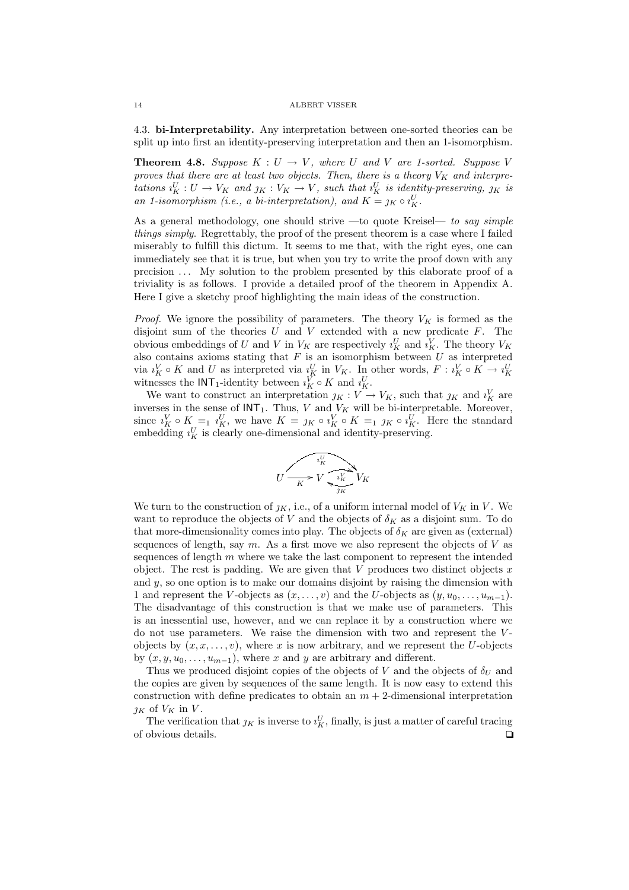4.3. bi-Interpretability. Any interpretation between one-sorted theories can be split up into first an identity-preserving interpretation and then an 1-isomorphism.

**Theorem 4.8.** Suppose  $K: U \to V$ , where U and V are 1-sorted. Suppose V proves that there are at least two objects. Then, there is a theory  $V_K$  and interpretations  $i_K^U: U \to V_K$  and  $j_K: V_K \to V$ , such that  $i_K^U$  is identity-preserving,  $j_K$  is an 1-isomorphism (i.e., a bi-interpretation), and  $K = \jmath_K \circ \iota_K^U$ .

As a general methodology, one should strive —to quote Kreisel— to say simple things simply. Regrettably, the proof of the present theorem is a case where I failed miserably to fulfill this dictum. It seems to me that, with the right eyes, one can immediately see that it is true, but when you try to write the proof down with any precision . . . My solution to the problem presented by this elaborate proof of a triviality is as follows. I provide a detailed proof of the theorem in Appendix A. Here I give a sketchy proof highlighting the main ideas of the construction.

*Proof.* We ignore the possibility of parameters. The theory  $V_K$  is formed as the disjoint sum of the theories  $U$  and  $V$  extended with a new predicate  $F$ . The obvious embeddings of U and V in  $V_K$  are respectively  $i_K^U$  and  $i_K^V$ . The theory  $V_K$ also contains axioms stating that  $F$  is an isomorphism between  $U$  as interpreted via  $i_K^V \circ K$  and U as interpreted via  $i_K^U$  in  $V_K$ . In other words,  $F : i_K^V \circ K \to i_K^U$  witnesses the  $\text{INT}_1$ -identity between  $i_K^V \circ K$  and  $i_K^U$ .

We want to construct an interpretation  $j_K : V \to V_K$ , such that  $j_K$  and  $i_K^V$  are inverses in the sense of  $INT_1$ . Thus, V and  $V_K$  will be bi-interpretable. Moreover, since  $i_K^V \circ K =_1 i_K^U$ , we have  $K = j_K \circ i_K^V \circ K =_1 j_K \circ i_K^U$ . Here the standard embedding  $i_K^U$  is clearly one-dimensional and identity-preserving.

$$
U \xrightarrow[K]{\begin{array}{c}\n\overrightarrow{i_K^V} \\
\overrightarrow{K} \\
\overrightarrow{K}\n\end{array}} V_K
$$

We turn to the construction of  $j_K$ , i.e., of a uniform internal model of  $V_K$  in V. We want to reproduce the objects of V and the objects of  $\delta_K$  as a disjoint sum. To do that more-dimensionality comes into play. The objects of  $\delta_K$  are given as (external) sequences of length, say  $m$ . As a first move we also represent the objects of  $V$  as sequences of length  $m$  where we take the last component to represent the intended object. The rest is padding. We are given that  $V$  produces two distinct objects  $x$ and  $y$ , so one option is to make our domains disjoint by raising the dimension with 1 and represent the V-objects as  $(x, \ldots, v)$  and the U-objects as  $(y, u_0, \ldots, u_{m-1})$ . The disadvantage of this construction is that we make use of parameters. This is an inessential use, however, and we can replace it by a construction where we do not use parameters. We raise the dimension with two and represent the  $V$ objects by  $(x, x, \ldots, v)$ , where x is now arbitrary, and we represent the U-objects by  $(x, y, u_0, \ldots, u_{m-1})$ , where x and y are arbitrary and different.

Thus we produced disjoint copies of the objects of V and the objects of  $\delta_U$  and the copies are given by sequences of the same length. It is now easy to extend this construction with define predicates to obtain an  $m + 2$ -dimensional interpretation  $\jmath_K$  of  $V_K$  in  $V$ .

The verification that  $\chi$  is inverse to  $\iota_K^U$ , finally, is just a matter of careful tracing of obvious details.  $\Box$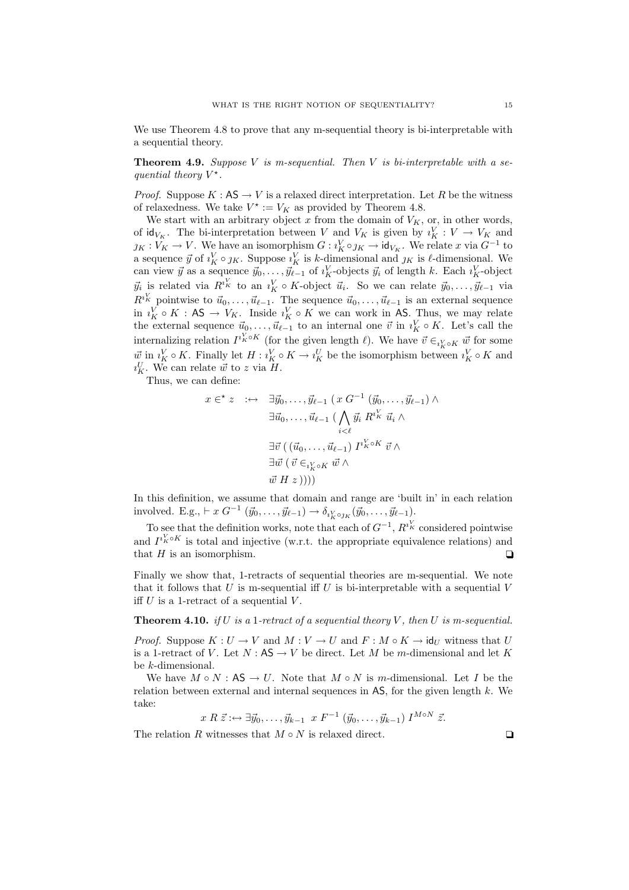We use Theorem 4.8 to prove that any m-sequential theory is bi-interpretable with a sequential theory.

**Theorem 4.9.** Suppose V is m-sequential. Then V is bi-interpretable with a sequential theory  $V^*$ .

*Proof.* Suppose  $K : AS \to V$  is a relaxed direct interpretation. Let R be the witness of relaxedness. We take  $V^* := V_K$  as provided by Theorem 4.8.

We start with an arbitrary object  $x$  from the domain of  $V_K$ , or, in other words, of  $\mathrm{id}_{V_K}$ . The bi-interpretation between V and  $V_K$  is given by  $i_K^V : V \to V_K$  and  $g_K : V_K \to V$ . We have an isomorphism  $G : i_K^V \circ g_K \to id_{V_K}$ . We relate x via  $G^{-1}$  to a sequence  $\vec{y}$  of  $i_K^V \circ j_K$ . Suppose  $i_K^V$  is k-dimensional and  $j_K$  is  $\ell$ -dimensional. We can view  $\vec{y}$  as a sequence  $\vec{y}_0, \ldots, \vec{y}_{\ell-1}$  of  $\imath_K^V$ -objects  $\vec{y}_i$  of length k. Each  $\imath_K^V$ -object  $\vec{y}_i$  is related via  $R^{i_K^V}$  to an  $i_K^V \circ K$ -object  $\vec{u}_i$ . So we can relate  $\vec{y}_0, \ldots, \vec{y}_{\ell-1}$  via  $R^{i_K}$  pointwise to  $\vec{u}_0, \ldots, \vec{u}_{\ell-1}$ . The sequence  $\vec{u}_0, \ldots, \vec{u}_{\ell-1}$  is an external sequence in  $i_K^V \circ K : \mathsf{AS} \to V_K$ . Inside  $i_K^V \circ K$  we can work in AS. Thus, we may relate the external sequence  $\vec{u}_0, \ldots, \vec{u}_{\ell-1}$  to an internal one  $\vec{v}$  in  $\imath_K^V \circ K$ . Let's call the internalizing relation  $I^{i^K_k \circ K}$  (for the given length  $\ell$ ). We have  $\vec{v} \in_{i^V_k \circ K} \vec{w}$  for some  $\vec{w}$  in  $i_K^V \circ K$ . Finally let  $H : i_K^V \circ K \to i_K^U$  be the isomorphism between  $i_K^V \circ K$  and  $u_K^U$ . We can relate  $\vec{w}$  to z via  $H$ .

Thus, we can define:

$$
x \in K \; z \; : \leftrightarrow \; \exists \vec{y}_0, \dots, \vec{y}_{\ell-1} \; (x \; G^{-1} \; (\vec{y}_0, \dots, \vec{y}_{\ell-1}) \; \wedge \; \exists \vec{u}_0, \dots, \vec{u}_{\ell-1} \; (\bigwedge_{i < \ell} \vec{y}_i \; R^{i \cdot K} \; \vec{u}_i \; \wedge \; \exists \vec{v} \; ((\vec{u}_0, \dots, \vec{u}_{\ell-1}) \; I^{i \cdot K \circ K} \; \vec{v} \; \wedge \; \exists \vec{w} \; (\vec{v} \in_{i \cdot K \circ K} \vec{w} \; \wedge \; \vec{w} \; H \; z))))
$$

In this definition, we assume that domain and range are 'built in' in each relation involved. E.g.,  $\vdash x G^{-1} (\vec{y}_0, \ldots, \vec{y}_{\ell-1}) \to \delta_{i_K^V \circ j_K} (\vec{y}_0, \ldots, \vec{y}_{\ell-1}).$ 

To see that the definition works, note that each of  $G^{-1}$ ,  $R^{i_K^V}$  considered pointwise and  $I^{i_K^V \circ K}$  is total and injective (w.r.t. the appropriate equivalence relations) and that H is an isomorphism.  $\Box$ 

Finally we show that, 1-retracts of sequential theories are m-sequential. We note that it follows that U is m-sequential iff U is bi-interpretable with a sequential V iff  $U$  is a 1-retract of a sequential  $V$ .

**Theorem 4.10.** if U is a 1-retract of a sequential theory V, then U is m-sequential.

*Proof.* Suppose  $K: U \to V$  and  $M: V \to U$  and  $F: M \circ K \to id_U$  witness that U is a 1-retract of V. Let  $N : AS \to V$  be direct. Let M be m-dimensional and let K be k-dimensional.

We have  $M \circ N : AS \to U$ . Note that  $M \circ N$  is m-dimensional. Let I be the relation between external and internal sequences in  $\overline{AS}$ , for the given length k. We take:

 $x R \, \vec{z} : \leftrightarrow \exists \vec{y}_0, \ldots, \vec{y}_{k-1} \, x F^{-1} (\vec{y}_0, \ldots, \vec{y}_{k-1}) I^{M \circ N} \, \vec{z}.$ 

The relation R witnesses that  $M \circ N$  is relaxed direct.  $\Box$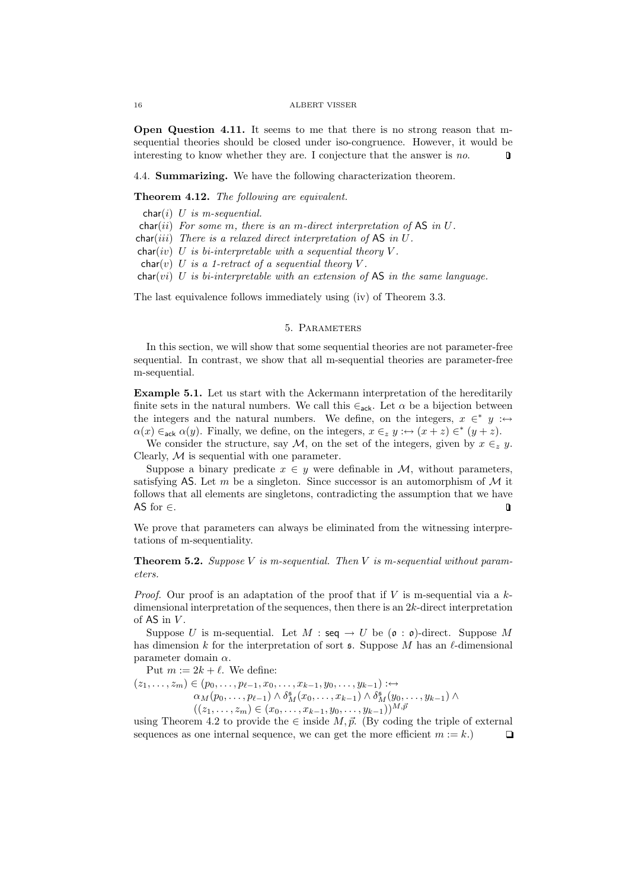Open Question 4.11. It seems to me that there is no strong reason that msequential theories should be closed under iso-congruence. However, it would be interesting to know whether they are. I conjecture that the answer is no.  $\Box$ 

4.4. Summarizing. We have the following characterization theorem.

## Theorem 4.12. The following are equivalent.

char(i)  $U$  is m-sequential.

 $char(ii)$  For some m, there is an m-direct interpretation of AS in U.

 $char(iii)$  There is a relaxed direct interpretation of AS in  $U$ .

 $char(iv)$  U is bi-interpretable with a sequential theory V.

 $char(v)$  U is a 1-retract of a sequential theory V.

char(vi) U is bi-interpretable with an extension of  $AS$  in the same language.

The last equivalence follows immediately using (iv) of Theorem 3.3.

# 5. Parameters

In this section, we will show that some sequential theories are not parameter-free sequential. In contrast, we show that all m-sequential theories are parameter-free m-sequential.

Example 5.1. Let us start with the Ackermann interpretation of the hereditarily finite sets in the natural numbers. We call this  $\epsilon_{ack}$ . Let  $\alpha$  be a bijection between the integers and the natural numbers. We define, on the integers,  $x \in^* y : \leftrightarrow$  $\alpha(x) \in_{\text{ack}} \alpha(y)$ . Finally, we define, on the integers,  $x \in_{z} y : \leftrightarrow (x + z) \in^{*} (y + z)$ .

We consider the structure, say M, on the set of the integers, given by  $x \in z$  y. Clearly,  $M$  is sequential with one parameter.

Suppose a binary predicate  $x \in y$  were definable in M, without parameters, satisfying AS. Let m be a singleton. Since successor is an automorphism of  $\mathcal M$  it follows that all elements are singletons, contradicting the assumption that we have AS for ∈.  $\Box$ 

We prove that parameters can always be eliminated from the witnessing interpretations of m-sequentiality.

**Theorem 5.2.** Suppose V is m-sequential. Then V is m-sequential without parameters.

*Proof.* Our proof is an adaptation of the proof that if V is m-sequential via a  $k$ dimensional interpretation of the sequences, then there is an 2k-direct interpretation of  $AS$  in  $V$ .

Suppose U is m-sequential. Let  $M : \mathsf{seq} \to U$  be  $(\mathfrak{o} : \mathfrak{o})$ -direct. Suppose M has dimension k for the interpretation of sort  $\mathfrak s$ . Suppose M has an  $\ell$ -dimensional parameter domain  $\alpha$ .

Put  $m := 2k + \ell$ . We define:

 $(z_1, \ldots, z_m) \in (p_0, \ldots, p_{\ell-1}, x_0, \ldots, x_{k-1}, y_0, \ldots, y_{k-1}) : \leftrightarrow$  $\alpha_M(p_0, \ldots, p_{\ell-1}) \wedge \delta_M^{\mathfrak{s}}(x_0, \ldots, x_{k-1}) \wedge \delta_M^{\mathfrak{s}}(y_0, \ldots, y_{k-1}) \wedge$  $((z_1, \ldots, z_m) \in (x_0, \ldots, x_{k-1}, y_0, \ldots, y_{k-1}))^{M, \bar{p}}$ 

using Theorem 4.2 to provide the  $\in$  inside  $M, \vec{p}$ . (By coding the triple of external sequences as one internal sequence, we can get the more efficient  $m := k$ .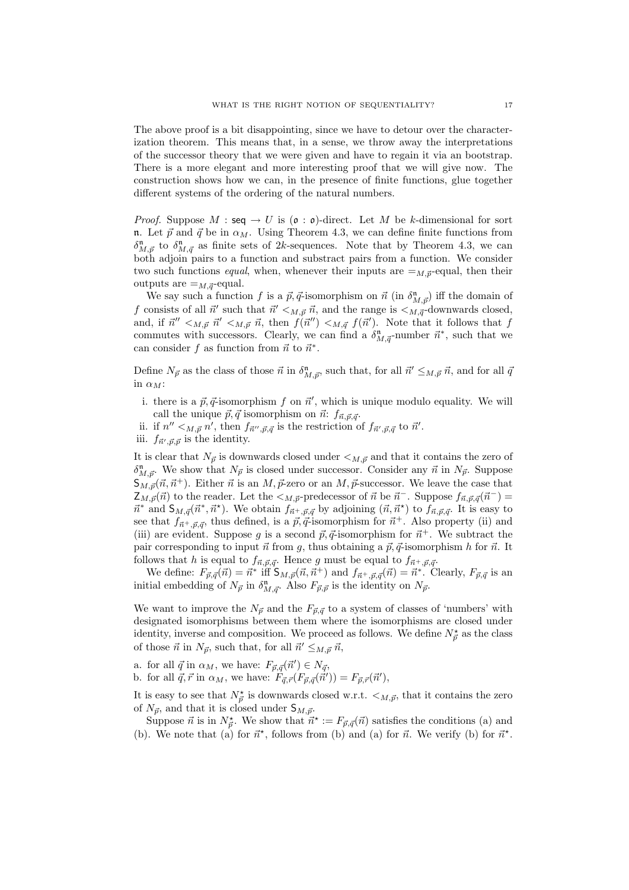The above proof is a bit disappointing, since we have to detour over the characterization theorem. This means that, in a sense, we throw away the interpretations of the successor theory that we were given and have to regain it via an bootstrap. There is a more elegant and more interesting proof that we will give now. The construction shows how we can, in the presence of finite functions, glue together different systems of the ordering of the natural numbers.

*Proof.* Suppose  $M : \text{seq} \to U$  is  $(\mathfrak{o} : \mathfrak{o})$ -direct. Let M be k-dimensional for sort n. Let  $\vec{p}$  and  $\vec{q}$  be in  $\alpha_M$ . Using Theorem 4.3, we can define finite functions from  $\delta_{M,\vec{p}}^{\mathfrak{n}}$  to  $\delta_{M,\vec{q}}^{\mathfrak{n}}$  as finite sets of 2k-sequences. Note that by Theorem 4.3, we can both adjoin pairs to a function and substract pairs from a function. We consider two such functions *equal*, when, whenever their inputs are  $=_{M,\vec{p}}$ -equal, then their outputs are  $=_{M,\vec{q}}$ -equal.

We say such a function f is a  $\vec{p}, \vec{q}$ -isomorphism on  $\vec{n}$  (in  $\delta_{M,\vec{p}}^{\mathfrak{n}}$ ) iff the domain of f consists of all  $\vec{n}'$  such that  $\vec{n}' <_{M,\vec{p}} \vec{n}$ , and the range is  $\lt_{M,\vec{q}}$ -downwards closed, and, if  $\vec{n}'' <_{M,{\vec{p}}} \vec{n}' <_{M,{\vec{p}}} \vec{n}$ , then  $\hat{f}(\vec{n}'') <_{M,{\vec{q}}} f(\vec{n}')$ . Note that it follows that f commutes with successors. Clearly, we can find a  $\delta_{M,\vec{q}}^n$ -number  $\vec{n}^*$ , such that we can consider f as function from  $\vec{n}$  to  $\vec{n}^*$ .

Define  $N_{\vec{p}}$  as the class of those  $\vec{n}$  in  $\delta_{M,\vec{p}}^{\mathfrak{n}}$ , such that, for all  $\vec{n}' \leq_{M,\vec{p}} \vec{n}$ , and for all  $\vec{q}$ in  $\alpha_M$ :

- i. there is a  $\vec{p}, \vec{q}$ -isomorphism f on  $\vec{n}'$ , which is unique modulo equality. We will call the unique  $\vec{p}, \vec{q}$  isomorphism on  $\vec{n}$ :  $f_{\vec{n}, \vec{p}, \vec{q}}$ .
- ii. if  $n'' <_{M,{\vec{p}}} n'$ , then  $f_{\vec{n}'',\vec{p},\vec{q}}$  is the restriction of  $f_{\vec{n}',\vec{p},\vec{q}}$  to  $\vec{n}'$ .
- iii.  $f_{\vec{n}',\vec{p},\vec{p}}$  is the identity.

It is clear that  $N_{\vec{p}}$  is downwards closed under  $\lt_{M,\vec{p}}$  and that it contains the zero of  $\delta_{M,\vec{p}}^{\mathfrak{n}}$ . We show that  $N_{\vec{p}}$  is closed under successor. Consider any  $\vec{n}$  in  $N_{\vec{p}}$ . Suppose  $S_{M,\vec{p}}(\vec{n}, \vec{n}^+)$ . Either  $\vec{n}$  is an  $M, \vec{p}$ -zero or an  $M, \vec{p}$ -successor. We leave the case that  $Z_{M,\vec{p}}(\vec{n})$  to the reader. Let the  $\lt_{M,\vec{p}}$ -predecessor of  $\vec{n}$  be  $\vec{n}^-$ . Suppose  $f_{\vec{n},\vec{p},\vec{q}}(\vec{n}^-)$  $\vec{n}^*$  and  $S_{M,\vec{q}}(\vec{n}^*,\vec{n}^*)$ . We obtain  $f_{\vec{n}^+,\vec{p},\vec{q}}$  by adjoining  $(\vec{n},\vec{n}^*)$  to  $f_{\vec{n},\vec{p},\vec{q}}$ . It is easy to see that  $f_{\vec{n}^+, \vec{p}, \vec{q}}$ , thus defined, is a  $\vec{p}, \vec{q}$ -isomorphism for  $\vec{n}^+$ . Also property (ii) and (iii) are evident. Suppose g is a second  $\vec{p}, \vec{q}$ -isomorphism for  $\vec{n}^+$ . We subtract the pair corresponding to input  $\vec{n}$  from g, thus obtaining a  $\vec{p}, \vec{q}$ -isomorphism h for  $\vec{n}$ . It follows that h is equal to  $f_{\vec{n},\vec{p},\vec{q}}$ . Hence g must be equal to  $f_{\vec{n}^+, \vec{p},\vec{q}}$ .

We define:  $F_{\vec{p},\vec{q}}(\vec{n}) = \vec{n}^*$  iff  $S_{M,\vec{p}}(\vec{n},\vec{n}^+)$  and  $f_{\vec{n}^+, \vec{p},\vec{q}}(\vec{n}) = \vec{n}^*.$  Clearly,  $F_{\vec{p},\vec{q}}$  is an initial embedding of  $N_{\vec{p}}$  in  $\delta_{M,\vec{q}}^{\mathfrak{n}}$ . Also  $F_{\vec{p},\vec{p}}$  is the identity on  $N_{\vec{p}}$ .

We want to improve the  $N_{\vec{p}}$  and the  $F_{\vec{p},\vec{q}}$  to a system of classes of 'numbers' with designated isomorphisms between them where the isomorphisms are closed under identity, inverse and composition. We proceed as follows. We define  $N_{\vec{p}}^{\star}$  as the class of those  $\vec{n}$  in  $N_{\vec{p}}$ , such that, for all  $\vec{n}' \leq_{M,\vec{p}} \vec{n}$ ,

a. for all  $\vec{q}$  in  $\alpha_M$ , we have:  $F_{\vec{p},\vec{q}}(\vec{n}') \in N_{\vec{q}},$ 

b. for all  $\vec{q}, \vec{r}$  in  $\alpha_M$ , we have:  $F_{\vec{q}, \vec{r}}(F_{\vec{p}, \vec{q}}(\vec{n}')) = F_{\vec{p}, \vec{r}}(\vec{n}'),$ 

It is easy to see that  $N_{\vec{p}}^{\star}$  is downwards closed w.r.t.  $\lt_{M,\vec{p}}$ , that it contains the zero of  $N_{\vec{p}}$ , and that it is closed under  $S_{M,\vec{p}}$ .

Suppose  $\vec{n}$  is in  $N_{\vec{p}}^*$ . We show that  $\vec{n}^* := F_{\vec{p},\vec{q}}(\vec{n})$  satisfies the conditions (a) and (b). We note that (a) for  $\vec{n}^*$ , follows from (b) and (a) for  $\vec{n}$ . We verify (b) for  $\vec{n}^*$ .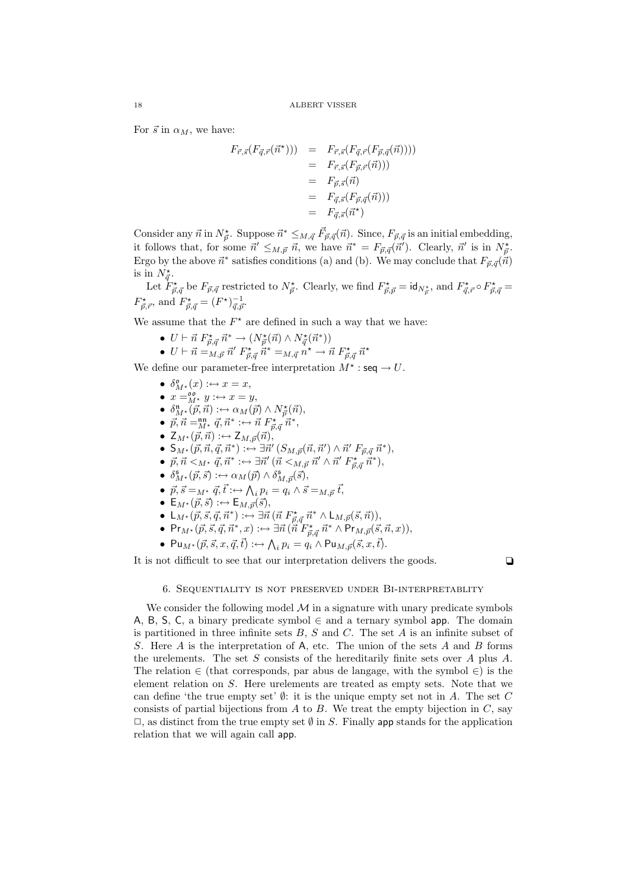For  $\vec{s}$  in  $\alpha_M$ , we have:

$$
F_{\vec{r},\vec{s}}(F_{\vec{q},\vec{r}}(\vec{n}^{\star}))) = F_{\vec{r},\vec{s}}(F_{\vec{q},\vec{r}}(F_{\vec{p},\vec{q}}(\vec{n}))))
$$
  
\n
$$
= F_{\vec{r},\vec{s}}(F_{\vec{p},\vec{r}}(\vec{n})))
$$
  
\n
$$
= F_{\vec{p},\vec{s}}(\vec{n})
$$
  
\n
$$
= F_{\vec{q},\vec{s}}(F_{\vec{p},\vec{q}}(\vec{n})))
$$
  
\n
$$
= F_{\vec{q},\vec{s}}(\vec{n}^{\star})
$$

Consider any  $\vec{n}$  in  $N_{\vec{p}}^*$ . Suppose  $\vec{n}^* \leq_{M,\vec{q}} \vec{F}_{\vec{p},\vec{q}}(\vec{n})$ . Since,  $F_{\vec{p},\vec{q}}$  is an initial embedding, it follows that, for some  $\vec{n}' \leq_{M,\vec{p}} \vec{n}$ , we have  $\vec{n}^* = F_{\vec{p},\vec{q}}(\vec{n}')$ . Clearly,  $\vec{n}'$  is in  $N_{\vec{p}}^*$ . Ergo by the above  $\vec{n}^*$  satisfies conditions (a) and (b). We may conclude that  $F_{\vec{p},\vec{q}}(\vec{n})$ is in  $N_{\vec{q}}^{\star}$ .

Let  $\ddot{F}^{\star}_{\vec{p},\vec{q}}$  be  $F_{\vec{p},\vec{q}}$  restricted to  $N^{\star}_{\vec{p}}$ . Clearly, we find  $F^{\star}_{\vec{p},\vec{p}} = \text{id}_{N^{\star}_{\vec{p}}},$  and  $F^{\star}_{\vec{q},\vec{r}} \circ F^{\star}_{\vec{p},\vec{q}} =$  $F^{\star}_{\vec{p},\vec{r}},$  and  $F^{\star}_{\vec{p},\vec{q}} = (F^{\star})^{-1}_{\vec{q},\vec{p}}.$ 

We assume that the  $F^*$  are defined in such a way that we have:

- $U \vdash \vec{n} F^{\star}_{\vec{p},\vec{q}} \vec{n}^* \rightarrow (N^{\star}_{\vec{p}}(\vec{n}) \wedge N^{\star}_{\vec{q}}(\vec{n}^*))$
- $U \vdash \vec{n} = M_{,\vec{p}} \vec{n}' \; F^{\star}_{\vec{p},\vec{q}} \; \dot{\vec{n}}^* = M_{,\vec{q}} \vec{n}^{\star} \to \vec{n} \; F^{\star}_{\vec{p},\vec{q}} \; \vec{n}^*$

We define our parameter-free interpretation  $M^*$ : seq  $\rightarrow U$ .

- $\delta_{M^*}^{\mathfrak{o}}(x) : \leftrightarrow x = x,$
- $x =_{M^*}^{\infty} y : \leftrightarrow x = y$ ,
- $\delta_{M^*}^{\mathfrak{n}}(\vec{p}, \vec{n}) : \hookrightarrow \alpha_M(\vec{p}) \wedge N_{\vec{p}}^{\star}(\vec{n}),$
- $\vec{p}, \vec{n} = \stackrel{\text{nn}}{M^*} \vec{q}, \vec{n}^* : \leftrightarrow \vec{n} F^{\star}_{\vec{p}, \vec{q}} \vec{n}^*,$
- $\mathsf{Z}_{M^\star}(\vec{p},\vec{n}): \hookrightarrow \mathsf{Z}_{M,\vec{p}}(\vec{n}),$
- $S_{M^*}(\vec{p}, \vec{n}, \vec{q}, \vec{n}^*) : \leftrightarrow \exists \vec{n}' \left( S_{M, \vec{p}}(\vec{n}, \vec{n}') \wedge \vec{n}' \ F_{\vec{p}, \vec{q}} \ \vec{n}^* \right),$
- $\vec{p}, \vec{n} <_{M^{\star}} \vec{q}, \vec{n}^* : \leftrightarrow \exists \vec{n}' ~(\vec{n} <_{M, \vec{p}} \vec{n}' \wedge \vec{n}' ~F^{\star}_{\vec{p}, \vec{q}} \vec{n}^*),$
- $\delta_{M^{\star}}^{\mathfrak{s}}(\vec{p},\vec{s}) : \leftrightarrow \alpha_M(\vec{p}) \wedge \delta_{M,\vec{p}}^{\mathfrak{s}}(\vec{s}),$
- $\vec{p}, \vec{s} =_{M^*} \vec{q}, \vec{t} : \leftrightarrow \bigwedge_i p_i = q_i \wedge \vec{s} =_{M, \vec{p}} \vec{t},$
- $\mathsf{E}_{M^*}(\vec{p}, \vec{s}) :\leftrightarrow \mathsf{E}_{M,\vec{p}}(\vec{s}),$
- $L_{M^*}(\vec{p}, \vec{s}, \vec{q}, \vec{n}^*) : \leftrightarrow \exists \vec{n} \left( \vec{n} \ F^{\star}_{\vec{p}, \vec{q}} \ \vec{n}^* \wedge L_{M, \vec{p}}(\vec{s}, \vec{n}) \right),$
- Pr<sub>M\*</sub>( $\vec{p}, \vec{s}, \vec{q}, \vec{n}^*, x$ ) :↔  $\exists \vec{n}$  ( $\vec{n}^T F^*_{\vec{p}, \vec{q}}$   $\vec{n}^* \wedge$  Pr $_{M, \vec{p}}(\vec{s}, \vec{n}, x)$ ),
- Pu<sub>M</sub>\* $(\vec{p}, \vec{s}, x, \vec{q}, \vec{t}) : \leftrightarrow \bigwedge_i p_i = q_i \wedge \textsf{Pu}_{M, \vec{p}}(\vec{s}, x, \vec{t}).$

It is not difficult to see that our interpretation delivers the goods.  $\Box$ 

# 6. SEQUENTIALITY IS NOT PRESERVED UNDER BI-INTERPRETABLITY

We consider the following model  $\mathcal M$  in a signature with unary predicate symbols A, B, S, C, a binary predicate symbol  $\in$  and a ternary symbol app. The domain is partitioned in three infinite sets  $B, S$  and  $C$ . The set  $A$  is an infinite subset of S. Here A is the interpretation of A, etc. The union of the sets A and B forms the urelements. The set  $S$  consists of the hereditarily finite sets over  $A$  plus  $A$ . The relation  $\in$  (that corresponds, par abus de langage, with the symbol  $\in$ ) is the element relation on S. Here urelements are treated as empty sets. Note that we can define 'the true empty set'  $\emptyset$ : it is the unique empty set not in A. The set C consists of partial bijections from  $A$  to  $B$ . We treat the empty bijection in  $C$ , say  $\Box$ , as distinct from the true empty set  $\emptyset$  in S. Finally app stands for the application relation that we will again call app.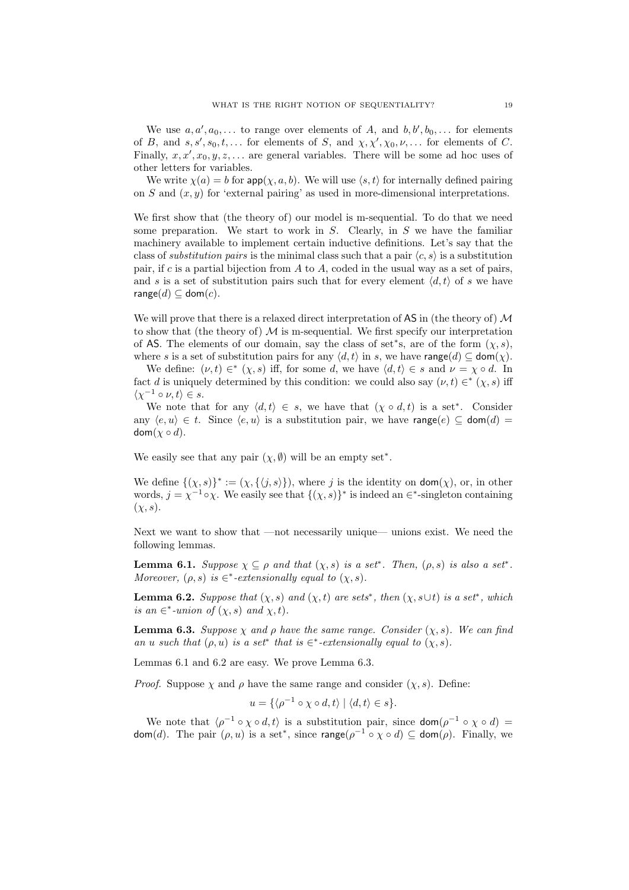We use  $a, a', a_0, \ldots$  to range over elements of A, and  $b, b', b_0, \ldots$  for elements of B, and  $s, s', s_0, t, \ldots$  for elements of S, and  $\chi, \chi', \chi_0, \nu, \ldots$  for elements of C. Finally,  $x, x', x_0, y, z, \ldots$  are general variables. There will be some ad hoc uses of other letters for variables.

We write  $\chi(a) = b$  for  $\textsf{app}(\chi, a, b)$ . We will use  $\langle s, t \rangle$  for internally defined pairing on S and  $(x, y)$  for 'external pairing' as used in more-dimensional interpretations.

We first show that (the theory of) our model is m-sequential. To do that we need some preparation. We start to work in  $S$ . Clearly, in  $S$  we have the familiar machinery available to implement certain inductive definitions. Let's say that the class of *substitution pairs* is the minimal class such that a pair  $\langle c, s \rangle$  is a substitution pair, if c is a partial bijection from  $A$  to  $A$ , coded in the usual way as a set of pairs, and s is a set of substitution pairs such that for every element  $\langle d, t \rangle$  of s we have range $(d) \subseteq \text{dom}(c)$ .

We will prove that there is a relaxed direct interpretation of  $\overline{AS}$  in (the theory of)  $\mathcal M$ to show that (the theory of)  $\mathcal M$  is m-sequential. We first specify our interpretation of AS. The elements of our domain, say the class of set\*s, are of the form  $(\chi, s)$ , where s is a set of substitution pairs for any  $\langle d, t \rangle$  in s, we have range $(d) \subseteq \text{dom}(\chi)$ .

We define:  $(\nu, t) \in^* (\chi, s)$  iff, for some d, we have  $\langle d, t \rangle \in s$  and  $\nu = \chi \circ d$ . In fact d is uniquely determined by this condition: we could also say  $(\nu, t) \in^* (\chi, s)$  iff  $\langle \chi^{-1} \circ \nu, t \rangle \in s.$ 

We note that for any  $\langle d, t \rangle \in s$ , we have that  $(\chi \circ d, t)$  is a set<sup>\*</sup>. Consider any  $\langle e, u \rangle \in t$ . Since  $\langle e, u \rangle$  is a substitution pair, we have range $(e) \subseteq \text{dom}(d) =$  $dom(\chi \circ d)$ .

We easily see that any pair  $(\chi, \emptyset)$  will be an empty set<sup>\*</sup>.

We define  $\{(\chi, s)\}^* := (\chi, \{\langle j, s \rangle\})$ , where j is the identity on  $\text{dom}(\chi)$ , or, in other words,  $j = \chi^{-1} \circ \chi$ . We easily see that  $\{(\chi, s)\}^*$  is indeed an  $\in^*$ -singleton containing  $(\chi, s).$ 

Next we want to show that —not necessarily unique— unions exist. We need the following lemmas.

**Lemma 6.1.** Suppose  $\chi \subseteq \rho$  and that  $(\chi, s)$  is a set<sup>\*</sup>. Then,  $(\rho, s)$  is also a set<sup>\*</sup>. Moreover,  $(\rho, s)$  is  $\in^*$ -extensionally equal to  $(\chi, s)$ .

**Lemma 6.2.** Suppose that  $(\chi, s)$  and  $(\chi, t)$  are sets<sup>\*</sup>, then  $(\chi, s \cup t)$  is a set<sup>\*</sup>, which is an  $\in^*$ -union of  $(\chi, s)$  and  $\chi, t$ .

**Lemma 6.3.** Suppose  $\chi$  and  $\rho$  have the same range. Consider  $(\chi, s)$ . We can find an u such that  $(\rho, u)$  is a set<sup>\*</sup> that is  $\in$ <sup>\*</sup>-extensionally equal to  $(\chi, s)$ .

Lemmas 6.1 and 6.2 are easy. We prove Lemma 6.3.

*Proof.* Suppose  $\chi$  and  $\rho$  have the same range and consider  $(\chi, s)$ . Define:

$$
u = \{ \langle \rho^{-1} \circ \chi \circ d, t \rangle \mid \langle d, t \rangle \in s \}.
$$

We note that  $\langle \rho^{-1} \circ \chi \circ d, t \rangle$  is a substitution pair, since  $\text{dom}(\rho^{-1} \circ \chi \circ d)$  = dom(*d*). The pair  $(\rho, u)$  is a set<sup>\*</sup>, since range( $\rho^{-1} \circ \chi \circ d$ )  $\subseteq$  dom( $\rho$ ). Finally, we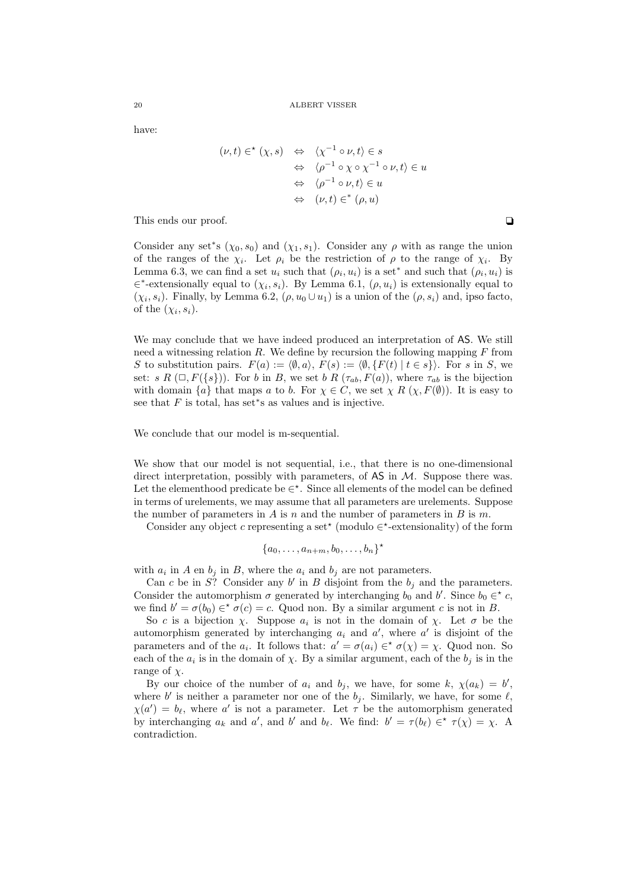have:

$$
(\nu, t) \in^{\star} (\chi, s) \Leftrightarrow \langle \chi^{-1} \circ \nu, t \rangle \in s
$$
  

$$
\Leftrightarrow \langle \rho^{-1} \circ \chi \circ \chi^{-1} \circ \nu, t \rangle \in u
$$
  

$$
\Leftrightarrow \langle \rho^{-1} \circ \nu, t \rangle \in u
$$
  

$$
\Leftrightarrow (\nu, t) \in^{\ast} (\rho, u)
$$

This ends our proof.  $\Box$ 

Consider any set<sup>\*</sup>s ( $\chi_0$ ,  $s_0$ ) and ( $\chi_1$ ,  $s_1$ ). Consider any  $\rho$  with as range the union of the ranges of the  $\chi_i$ . Let  $\rho_i$  be the restriction of  $\rho$  to the range of  $\chi_i$ . By Lemma 6.3, we can find a set  $u_i$  such that  $(\rho_i, u_i)$  is a set<sup>\*</sup> and such that  $(\rho_i, u_i)$  is  $\in^*$ -extensionally equal to  $(\chi_i, s_i)$ . By Lemma 6.1,  $(\rho, u_i)$  is extensionally equal to  $(\chi_i, s_i)$ . Finally, by Lemma 6.2,  $(\rho, u_0 \cup u_1)$  is a union of the  $(\rho, s_i)$  and, ipso facto, of the  $(\chi_i, s_i)$ .

We may conclude that we have indeed produced an interpretation of AS. We still need a witnessing relation  $R$ . We define by recursion the following mapping  $F$  from S to substitution pairs.  $F(a) := \langle \emptyset, a \rangle$ ,  $F(s) := \langle \emptyset, \{F(t) | t \in s\} \rangle$ . For s in S, we set: s R  $(\Box, F({s}))$ . For b in B, we set b R  $(\tau_{ab}, F(a))$ , where  $\tau_{ab}$  is the bijection with domain  $\{a\}$  that maps a to b. For  $\chi \in C$ , we set  $\chi R(\chi, F(\emptyset))$ . It is easy to see that  $F$  is total, has set\*s as values and is injective.

We conclude that our model is m-sequential.

We show that our model is not sequential, i.e., that there is no one-dimensional direct interpretation, possibly with parameters, of  $\overline{AS}$  in  $\mathcal{M}$ . Suppose there was. Let the elementhood predicate be  $\in^*$ . Since all elements of the model can be defined in terms of urelements, we may assume that all parameters are urelements. Suppose the number of parameters in  $A$  is  $n$  and the number of parameters in  $B$  is  $m$ .

Consider any object c representing a set<sup>\*</sup> (modulo  $\in$ <sup>\*</sup>-extensionality) of the form

$$
\{a_0,\ldots,a_{n+m},b_0,\ldots,b_n\}^{\star}
$$

with  $a_i$  in A en  $b_j$  in B, where the  $a_i$  and  $b_j$  are not parameters.

Can c be in S? Consider any  $b'$  in B disjoint from the  $b_j$  and the parameters. Consider the automorphism  $\sigma$  generated by interchanging  $b_0$  and  $b'$ . Since  $b_0 \in \infty$ , we find  $b' = \sigma(b_0) \in \sigma(c) = c$ . Quod non. By a similar argument c is not in B.

So c is a bijection  $\chi$ . Suppose  $a_i$  is not in the domain of  $\chi$ . Let  $\sigma$  be the automorphism generated by interchanging  $a_i$  and  $a'$ , where  $a'$  is disjoint of the parameters and of the  $a_i$ . It follows that:  $a' = \sigma(a_i) \in \sigma(\chi) = \chi$ . Quod non. So each of the  $a_i$  is in the domain of  $\chi$ . By a similar argument, each of the  $b_j$  is in the range of  $\chi$ .

By our choice of the number of  $a_i$  and  $b_j$ , we have, for some k,  $\chi(a_k) = b'$ , where b' is neither a parameter nor one of the  $b_j$ . Similarly, we have, for some  $\ell$ ,  $\chi(a') = b_{\ell}$ , where a' is not a parameter. Let  $\tau$  be the automorphism generated by interchanging  $a_k$  and  $a'$ , and  $b'$  and  $b_\ell$ . We find:  $b' = \tau(b_\ell) \in \tau(\chi) = \chi$ . A contradiction.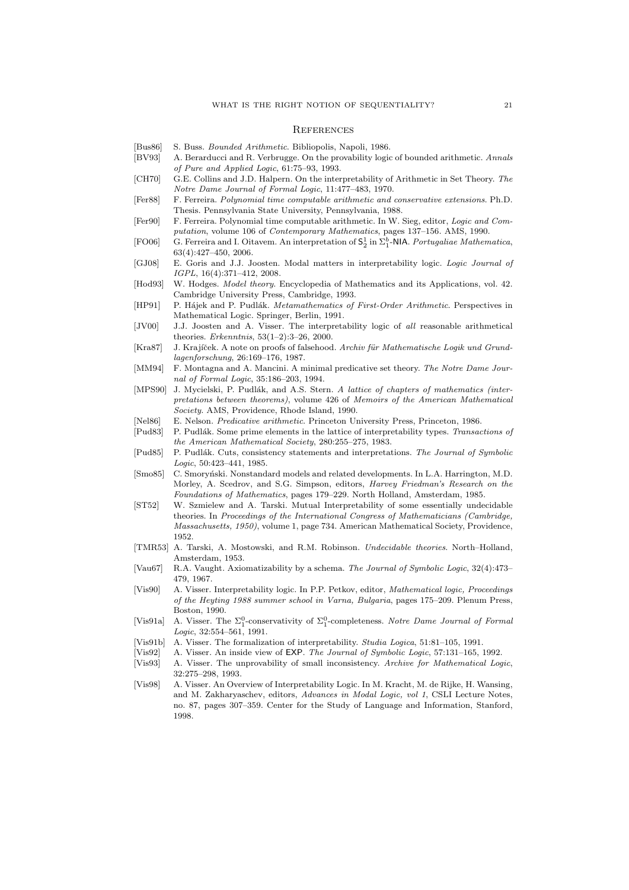### **REFERENCES**

- [Bus86] S. Buss. Bounded Arithmetic. Bibliopolis, Napoli, 1986.
- [BV93] A. Berarducci and R. Verbrugge. On the provability logic of bounded arithmetic. Annals of Pure and Applied Logic, 61:75–93, 1993.
- [CH70] G.E. Collins and J.D. Halpern. On the interpretability of Arithmetic in Set Theory. The Notre Dame Journal of Formal Logic, 11:477–483, 1970.
- [Fer88] F. Ferreira. Polynomial time computable arithmetic and conservative extensions. Ph.D. Thesis. Pennsylvania State University, Pennsylvania, 1988.
- [Fer90] F. Ferreira. Polynomial time computable arithmetic. In W. Sieg, editor, Logic and Computation, volume 106 of Contemporary Mathematics, pages 137–156. AMS, 1990.
- [FO06] G. Ferreira and I. Oitavem. An interpretation of  $S_2^1$  in  $\Sigma_1^b$ -NIA. Portugaliae Mathematica, 63(4):427–450, 2006.
- [GJ08] E. Goris and J.J. Joosten. Modal matters in interpretability logic. Logic Journal of IGPL, 16(4):371–412, 2008.
- [Hod93] W. Hodges. *Model theory.* Encyclopedia of Mathematics and its Applications, vol. 42. Cambridge University Press, Cambridge, 1993.
- [HP91] P. Hájek and P. Pudlák. Metamathematics of First-Order Arithmetic. Perspectives in Mathematical Logic. Springer, Berlin, 1991.
- [JV00] J.J. Joosten and A. Visser. The interpretability logic of all reasonable arithmetical theories. Erkenntnis, 53(1–2):3–26, 2000.
- [Kra87] J. Krajíček. A note on proofs of falsehood. Archiv für Mathematische Logik und Grundlagenforschung, 26:169–176, 1987.
- [MM94] F. Montagna and A. Mancini. A minimal predicative set theory. The Notre Dame Journal of Formal Logic, 35:186–203, 1994.
- [MPS90] J. Mycielski, P. Pudlák, and A.S. Stern. A lattice of chapters of mathematics (interpretations between theorems), volume 426 of Memoirs of the American Mathematical Society. AMS, Providence, Rhode Island, 1990.
- [Nel86] E. Nelson. Predicative arithmetic. Princeton University Press, Princeton, 1986.
- [Pud83] P. Pudlák. Some prime elements in the lattice of interpretability types. Transactions of the American Mathematical Society, 280:255–275, 1983.
- [Pud85] P. Pudlák. Cuts, consistency statements and interpretations. The Journal of Symbolic Logic, 50:423–441, 1985.
- [Smo85] C. Smoryński. Nonstandard models and related developments. In L.A. Harrington, M.D. Morley, A. Scedrov, and S.G. Simpson, editors, Harvey Friedman's Research on the Foundations of Mathematics, pages 179–229. North Holland, Amsterdam, 1985.
- [ST52] W. Szmielew and A. Tarski. Mutual Interpretability of some essentially undecidable theories. In Proceedings of the International Congress of Mathematicians (Cambridge, Massachusetts, 1950), volume 1, page 734. American Mathematical Society, Providence, 1952.
- [TMR53] A. Tarski, A. Mostowski, and R.M. Robinson. Undecidable theories. North–Holland, Amsterdam, 1953.
- [Vau67] R.A. Vaught. Axiomatizability by a schema. The Journal of Symbolic Logic, 32(4):473– 479, 1967.
- [Vis90] A. Visser. Interpretability logic. In P.P. Petkov, editor, Mathematical logic, Proceedings of the Heyting 1988 summer school in Varna, Bulgaria, pages 175–209. Plenum Press, Boston, 1990.
- [Vis91a] A. Visser. The  $\Sigma_1^0$ -conservativity of  $\Sigma_1^0$ -completeness. Notre Dame Journal of Formal Logic, 32:554–561, 1991.
- [Vis91b] A. Visser. The formalization of interpretability. Studia Logica, 51:81–105, 1991.
- [Vis92] A. Visser. An inside view of EXP. The Journal of Symbolic Logic, 57:131–165, 1992.
- [Vis93] A. Visser. The unprovability of small inconsistency. Archive for Mathematical Logic, 32:275–298, 1993.
- [Vis98] A. Visser. An Overview of Interpretability Logic. In M. Kracht, M. de Rijke, H. Wansing, and M. Zakharyaschev, editors, Advances in Modal Logic, vol 1, CSLI Lecture Notes, no. 87, pages 307–359. Center for the Study of Language and Information, Stanford, 1998.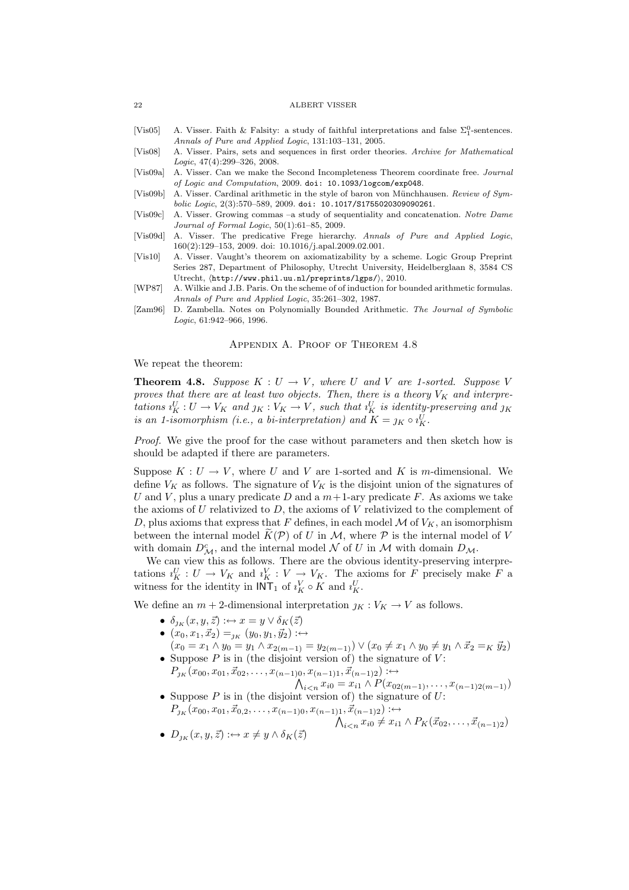- [Vis05] A. Visser. Faith & Falsity: a study of faithful interpretations and false  $\Sigma_1^0$ -sentences. Annals of Pure and Applied Logic, 131:103–131, 2005.
- [Vis08] A. Visser. Pairs, sets and sequences in first order theories. Archive for Mathematical Logic, 47(4):299–326, 2008.
- [Vis09a] A. Visser. Can we make the Second Incompleteness Theorem coordinate free. Journal of Logic and Computation, 2009. doi: 10.1093/logcom/exp048.
- [Vis09b] A. Visser. Cardinal arithmetic in the style of baron von Münchhausen. Review of Symbolic Logic, 2(3):570–589, 2009. doi: 10.1017/S1755020309090261.
- [Vis09c] A. Visser. Growing commas –a study of sequentiality and concatenation. Notre Dame Journal of Formal Logic, 50(1):61–85, 2009.
- [Vis09d] A. Visser. The predicative Frege hierarchy. Annals of Pure and Applied Logic, 160(2):129–153, 2009. doi: 10.1016/j.apal.2009.02.001.
- [Vis10] A. Visser. Vaught's theorem on axiomatizability by a scheme. Logic Group Preprint Series 287, Department of Philosophy, Utrecht University, Heidelberglaan 8, 3584 CS Utrecht,  $\langle$ http://www.phil.uu.nl/preprints/lgps/ $\rangle$ , 2010.
- [WP87] A. Wilkie and J.B. Paris. On the scheme of of induction for bounded arithmetic formulas. Annals of Pure and Applied Logic, 35:261–302, 1987.
- [Zam96] D. Zambella. Notes on Polynomially Bounded Arithmetic. The Journal of Symbolic Logic, 61:942–966, 1996.

### Appendix A. Proof of Theorem 4.8

We repeat the theorem:

**Theorem 4.8.** Suppose  $K: U \to V$ , where U and V are 1-sorted. Suppose V proves that there are at least two objects. Then, there is a theory  $V_K$  and interpretations  $i_K^U: U \to V_K$  and  $j_K: V_K \to V$ , such that  $i_K^U$  is identity-preserving and  $j_K$ is an 1-isomorphism (i.e., a bi-interpretation) and  $K = j<sub>K</sub> \circ i<sub>K</sub><sup>U</sup>$ .

Proof. We give the proof for the case without parameters and then sketch how is should be adapted if there are parameters.

Suppose  $K: U \to V$ , where U and V are 1-sorted and K is m-dimensional. We define  $V_K$  as follows. The signature of  $V_K$  is the disjoint union of the signatures of U and V, plus a unary predicate D and a  $m+1$ -ary predicate F. As axioms we take the axioms of  $U$  relativized to  $D$ , the axioms of  $V$  relativized to the complement of D, plus axioms that express that F defines, in each model  $\mathcal M$  of  $V_K$ , an isomorphism between the internal model  $\tilde{K}(\mathcal{P})$  of U in M, where P is the internal model of V with domain  $D_M^c$ , and the internal model N of U in M with domain  $D_M$ .

We can view this as follows. There are the obvious identity-preserving interpretations  $i_K^U: U \to V_K$  and  $i_K^V: V \to V_K$ . The axioms for F precisely make F a witness for the identity in  $INT_1$  of  $i_K^V \circ K$  and  $i_K^U$ .

We define an  $m + 2$ -dimensional interpretation  $j_K : V_K \to V$  as follows.

- $\delta_{1\kappa}(x, y, \vec{z}) : \leftrightarrow x = y \vee \delta_K(\vec{z})$
- $(x_0, x_1, \vec{x}_2) =_{\jmath_K} (y_0, y_1, \vec{y}_2) : \leftrightarrow$
- $(x_0 = x_1 \wedge y_0 = y_1 \wedge x_{2(m-1)} = y_{2(m-1)}) \vee (x_0 \neq x_1 \wedge y_0 \neq y_1 \wedge \vec{x}_2 =_K \vec{y}_2)$ • Suppose  $P$  is in (the disjoint version of) the signature of  $V$ :

 $P_{j_{K}}(x_{00},x_{01},\vec{x}_{02},\ldots,x_{(n-1)0},x_{(n-1)1},\vec{x}_{(n-1)2}): \leftrightarrow$ 

V i<n xi<sup>0</sup> = xi<sup>1</sup> ∧ P(x02(m−1), . . . , x(n−1)2(m−1)) • Suppose P is in (the disjoint version of) the signature of U:

$$
P_{j_{K}}(x_{00}, x_{01}, \vec{x}_{0,2}, \dots, x_{(n-1)0}, x_{(n-1)1}, \vec{x}_{(n-1)2}) \leftrightarrow \lambda_{i < n} x_{i0} \neq x_{i1} \wedge P_{K}(\vec{x}_{02}, \dots, \vec{x}_{(n-1)2})
$$

• 
$$
D_{j_K}(x, y, \vec{z}) : \leftrightarrow x \neq y \land \delta_K(\vec{z})
$$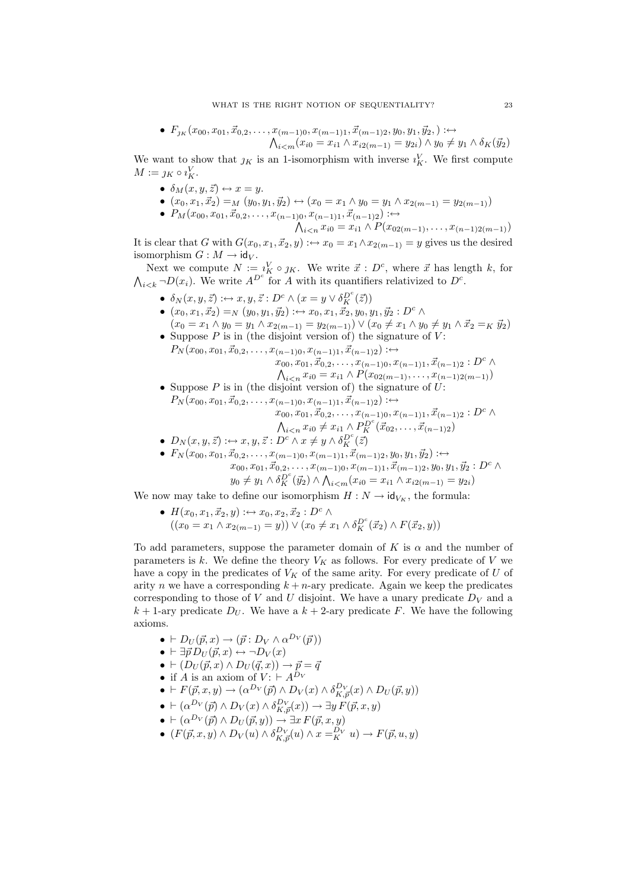• 
$$
F_{j_K}(x_{00}, x_{01}, \vec{x}_{0,2}, \ldots, x_{(m-1)0}, x_{(m-1)1}, \vec{x}_{(m-1)2}, y_0, y_1, \vec{y}_2,): \leftrightarrow
$$
  

$$
\bigwedge_{i < m} (x_{i0} = x_{i1} \land x_{i2(m-1)} = y_{2i}) \land y_0 \neq y_1 \land \delta_K(\vec{y}_2)
$$

We want to show that  $j_K$  is an 1-isomorphism with inverse  $i_K^V$ . We first compute  $M := \jmath_K \circ \iota_K^V.$ 

- $\delta_M(x, y, \vec{z}) \leftrightarrow x = y$ .
- $(x_0, x_1, \vec{x}_2) = M(y_0, y_1, \vec{y}_2) \leftrightarrow (x_0 = x_1 \wedge y_0 = y_1 \wedge x_{2(m-1)} = y_{2(m-1)})$
- $P_M(x_{00}, x_{01}, \vec{x}_{0,2}, \ldots, x_{(n-1)0}, x_{(n-1)1}, \vec{x}_{(n-1)2}) : \leftrightarrow$

$$
\bigwedge_{i < n} x_{i0} = x_{i1} \land P(x_{02(m-1)}, \dots, x_{(n-1)2(m-1)})
$$

It is clear that G with  $G(x_0, x_1, \vec{x}_2, y) : \leftrightarrow x_0 = x_1 \wedge x_{2(m-1)} = y$  gives us the desired isomorphism  $G : M \to \text{id}_V$ .

Next we compute  $N := i_K^V \circ j_K$ . We write  $\vec{x} : D^c$ , where  $\vec{x}$  has length k, for  $\bigwedge_{i\leq k}\neg D(x_i)$ . We write  $A^{D^c}$  for A with its quantifiers relativized to  $D^c$ .

- $\delta_N(x, y, \vec{z}) : \leftrightarrow x, y, \vec{z} : D^c \wedge (x = y \vee \delta_K^{D^c}(\vec{z}))$
- $(x_0, x_1, \vec{x}_2) =_N (y_0, y_1, \vec{y}_2) : \leftrightarrow x_0, x_1, \vec{x}_2, y_0, y_1, \vec{y}_2 : D^c \land$  $(x_0 = x_1 \wedge y_0 = y_1 \wedge x_{2(m-1)} = y_{2(m-1)}) \vee (x_0 \neq x_1 \wedge y_0 \neq y_1 \wedge \vec{x}_2 =_K \vec{y}_2)$
- Suppose  $P$  is in (the disjoint version of) the signature of  $V$ :  $P_N(x_{00}, x_{01}, \vec{x}_{0,2}, \ldots, x_{(n-1)0}, x_{(n-1)1}, \vec{x}_{(n-1)2}) : \leftrightarrow$

$$
x_{00}, x_{01}, \vec{x}_{0,2}, \ldots, x_{(n-1)0}, x_{(n-1)1}, \vec{x}_{(n-1)2} : D^c \wedge
$$

$$
\bigwedge_{i < n} x_{i0} = x_{i1} \land P(x_{02(m-1)}, \dots, x_{(n-1)2(m-1)})
$$

• Suppose  $P$  is in (the disjoint version of) the signature of  $U$ :  $P_N(x_{00}, x_{01}, \vec{x}_{0,2}, \ldots, x_{(n-1)0}, x_{(n-1)1}, \vec{x}_{(n-1)2}) : \leftrightarrow$  $x_{00}, x_{01}, \vec{x}_{0,2}, \ldots, x_{(n-1)0}, x_{(n-1)1}, \vec{x}_{(n-1)2} : D^c \wedge$ 

$$
\bigwedge_{i
$$

- $D_N(x, y, \vec{z}) : \leftrightarrow x, y, \vec{z} : D^c \wedge x \neq y \wedge \delta_K^{D^c}(\vec{z})$
- $F_N(x_{00}, x_{01}, \vec{x}_{0,2}, \ldots, x_{(m-1)0}, x_{(m-1)1}, \vec{x}_{(m-1)2}, y_0, y_1, \vec{y}_2) : \leftrightarrow$  $x_{00}, x_{01}, \vec{x}_{0,2}, \ldots, x_{(m-1)0}, x_{(m-1)1}, \vec{x}_{(m-1)2}, y_0, y_1, \vec{y}_2 : D^c \wedge$  $y_0 \neq y_1 \wedge \delta_K^{D^c}(\vec{y}_2) \wedge \bigwedge_{i \leq m} (x_{i0} = x_{i1} \wedge x_{i2(m-1)} = y_{2i})$

We now may take to define our isomorphism  $H : N \to id_{V_K}$ , the formula:

• 
$$
H(x_0, x_1, \vec{x}_2, y) \leftrightarrow x_0, x_2, \vec{x}_2 : D^c \wedge
$$
  
\n $((x_0 = x_1 \wedge x_{2(m-1)} = y)) \vee (x_0 \neq x_1 \wedge \delta_K^{D^c}(\vec{x}_2) \wedge F(\vec{x}_2, y))$ 

To add parameters, suppose the parameter domain of K is  $\alpha$  and the number of parameters is k. We define the theory  $V_K$  as follows. For every predicate of V we have a copy in the predicates of  $V_K$  of the same arity. For every predicate of  $U$  of arity n we have a corresponding  $k + n$ -ary predicate. Again we keep the predicates corresponding to those of V and U disjoint. We have a unary predicate  $D_V$  and a  $k + 1$ -ary predicate  $D_U$ . We have a  $k + 2$ -ary predicate F. We have the following axioms.

- $\bullet \vdash D_U(\vec{p}, x) \rightarrow (\vec{p} : D_V \wedge \alpha^{D_V}(\vec{p}))$
- $\bullet \vdash \exists \vec{p} \, D_U(\vec{p}, x) \leftrightarrow \neg D_V(x)$
- $\bullet \, \vdash (D_U (\vec{p}, x) \land D_U (\vec{q}, x)) \rightarrow \vec{p} = \vec{q}$
- if A is an axiom of  $V : \vdash A^{D_V}$
- $\bullet$   $\vdash F(\vec{p}, x, y) \rightarrow (\alpha^{D_V}(\vec{p}) \wedge D_V(x) \wedge \delta_{K, \vec{p}}^{D_V}(x) \wedge D_U(\vec{p}, y))$
- $\bullet \vdash (\alpha^{D_V}(\vec{p}) \land D_V(x) \land \delta_{K,\vec{p}}^{D_V}(x)) \rightarrow \exists y \ F(\vec{p},x,y)$
- $\bullet \ \vdash (\alpha^{D_V}(\vec{p}) \land D_U(\vec{p}, y)) \rightarrow \exists x \ F(\vec{p}, x, y)$
- $(F(\vec{p}, x, y) \wedge D_V(u) \wedge \delta_{K, \vec{p}}^{D_V}(u) \wedge x =_{K}^{D_V} u) \rightarrow F(\vec{p}, u, y)$